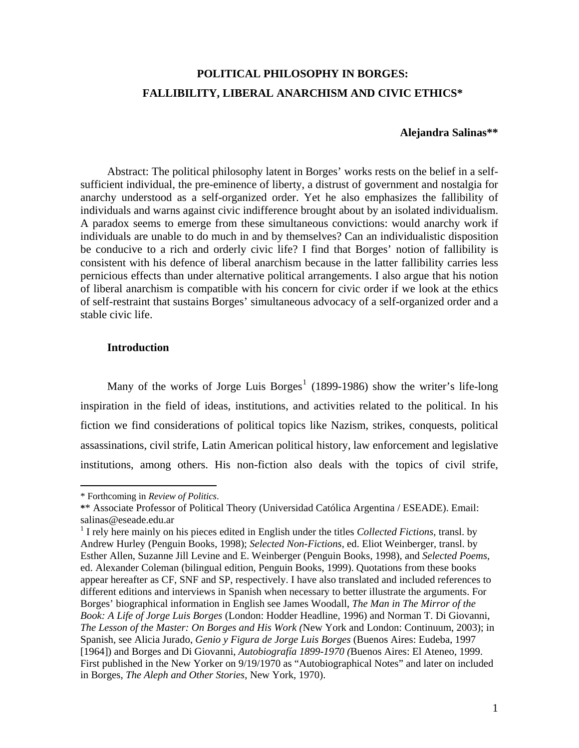# **POLITICAL PHILOSOPHY IN BORGES: FALLIBILITY, LIBERAL ANARCHISM AND CIVIC ETHICS\***

### **Alejandra Salinas\*\***

Abstract: The political philosophy latent in Borges' works rests on the belief in a selfsufficient individual, the pre-eminence of liberty, a distrust of government and nostalgia for anarchy understood as a self-organized order. Yet he also emphasizes the fallibility of individuals and warns against civic indifference brought about by an isolated individualism. A paradox seems to emerge from these simultaneous convictions: would anarchy work if individuals are unable to do much in and by themselves? Can an individualistic disposition be conducive to a rich and orderly civic life? I find that Borges' notion of fallibility is consistent with his defence of liberal anarchism because in the latter fallibility carries less pernicious effects than under alternative political arrangements. I also argue that his notion of liberal anarchism is compatible with his concern for civic order if we look at the ethics of self-restraint that sustains Borges' simultaneous advocacy of a self-organized order and a stable civic life.

### **Introduction**

Many of the works of Jorge Luis Borges<sup>[1](#page-0-0)</sup> (1899-1986) show the writer's life-long inspiration in the field of ideas, institutions, and activities related to the political. In his fiction we find considerations of political topics like Nazism, strikes, conquests, political assassinations, civil strife, Latin American political history, law enforcement and legislative institutions, among others. His non-fiction also deals with the topics of civil strife,

<span id="page-0-0"></span><sup>\*</sup> Forthcoming in *Review of Politics*.

**<sup>\*</sup>**\* Associate Professor of Political Theory (Universidad Católica Argentina / ESEADE). Email: salinas@eseade.edu.ar

<sup>&</sup>lt;sup>1</sup> I rely here mainly on his pieces edited in English under the titles *Collected Fictions*, transl. by Andrew Hurley (Penguin Books, 1998); *Selected Non-Fictions,* ed. Eliot Weinberger, transl. by Esther Allen, Suzanne Jill Levine and E. Weinberger (Penguin Books, 1998), and *Selected Poems*, ed. Alexander Coleman (bilingual edition, Penguin Books, 1999). Quotations from these books appear hereafter as CF, SNF and SP, respectively. I have also translated and included references to different editions and interviews in Spanish when necessary to better illustrate the arguments. For Borges' biographical information in English see James Woodall, *The Man in The Mirror of the Book: A Life of Jorge Luis Borges* (London: Hodder Headline, 1996) and Norman T. Di Giovanni, *The Lesson of the Master: On Borges and His Work (*New York and London: Continuum, 2003); in Spanish, see Alicia Jurado, *Genio y Figura de Jorge Luis Borges* (Buenos Aires: Eudeba, 1997 [1964]) and Borges and Di Giovanni, *Autobiografía 1899-1970 (*Buenos Aires: El Ateneo, 1999. First published in the New Yorker on 9/19/1970 as "Autobiographical Notes" and later on included in Borges, *The Aleph and Other Stories*, New York, 1970).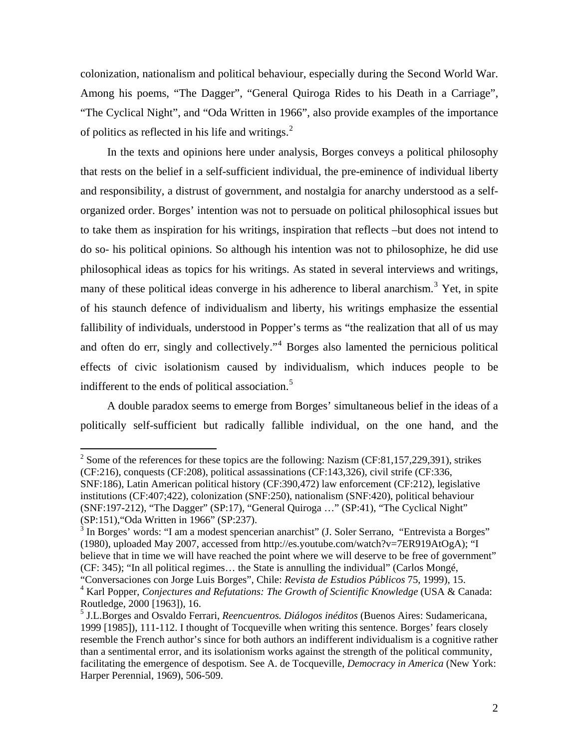colonization, nationalism and political behaviour, especially during the Second World War. Among his poems, "The Dagger", "General Quiroga Rides to his Death in a Carriage", "The Cyclical Night", and "Oda Written in 1966", also provide examples of the importance of politics as reflected in his life and writings. $2$ 

In the texts and opinions here under analysis, Borges conveys a political philosophy that rests on the belief in a self-sufficient individual, the pre-eminence of individual liberty and responsibility, a distrust of government, and nostalgia for anarchy understood as a selforganized order. Borges' intention was not to persuade on political philosophical issues but to take them as inspiration for his writings, inspiration that reflects –but does not intend to do so- his political opinions. So although his intention was not to philosophize, he did use philosophical ideas as topics for his writings. As stated in several interviews and writings, many of these political ideas converge in his adherence to liberal anarchism.<sup>[3](#page-1-1)</sup> Yet, in spite of his staunch defence of individualism and liberty, his writings emphasize the essential fallibility of individuals, understood in Popper's terms as "the realization that all of us may and often do err, singly and collectively."<sup>[4](#page-1-2)</sup> Borges also lamented the pernicious political effects of civic isolationism caused by individualism, which induces people to be indifferent to the ends of political association.<sup>[5](#page-1-3)</sup>

A double paradox seems to emerge from Borges' simultaneous belief in the ideas of a politically self-sufficient but radically fallible individual, on the one hand, and the

<span id="page-1-0"></span><sup>&</sup>lt;sup>2</sup> Some of the references for these topics are the following: Nazism (CF:81,157,229,391), strikes (CF:216), conquests (CF:208), political assassinations (CF:143,326), civil strife (CF:336,

SNF:186), Latin American political history (CF:390,472) law enforcement (CF:212), legislative institutions (CF:407;422), colonization (SNF:250), nationalism (SNF:420), political behaviour (SNF:197-212), "The Dagger" (SP:17), "General Quiroga …" (SP:41), "The Cyclical Night" (SP:151),"Oda Written in 1966" (SP:237).

<span id="page-1-1"></span><sup>&</sup>lt;sup>3</sup> In Borges' words: "I am a modest spencerian anarchist" (J. Soler Serrano, "Entrevista a Borges" (1980), uploaded May 2007, accessed from http://es.youtube.com/watch?v=7ER919AtOgA); "I believe that in time we will have reached the point where we will deserve to be free of government" (CF: 345); "In all political regimes… the State is annulling the individual" (Carlos Mongé, "Conversaciones con Jorge Luis Borges", Chile: *Revista de Estudios Públicos* 75, 1999), 15.

<span id="page-1-2"></span><sup>4</sup> Karl Popper, *Conjectures and Refutations: The Growth of Scientific Knowledge* (USA & Canada: Routledge, 2000 [1963]), 16.

<span id="page-1-3"></span><sup>5</sup> J.L.Borges and Osvaldo Ferrari, *Reencuentros. Diálogos inéditos* (Buenos Aires: Sudamericana, 1999 [1985]), 111-112. I thought of Tocqueville when writing this sentence. Borges' fears closely resemble the French author's since for both authors an indifferent individualism is a cognitive rather than a sentimental error, and its isolationism works against the strength of the political community, facilitating the emergence of despotism. See A. de Tocqueville, *Democracy in America* (New York: Harper Perennial, 1969), 506-509.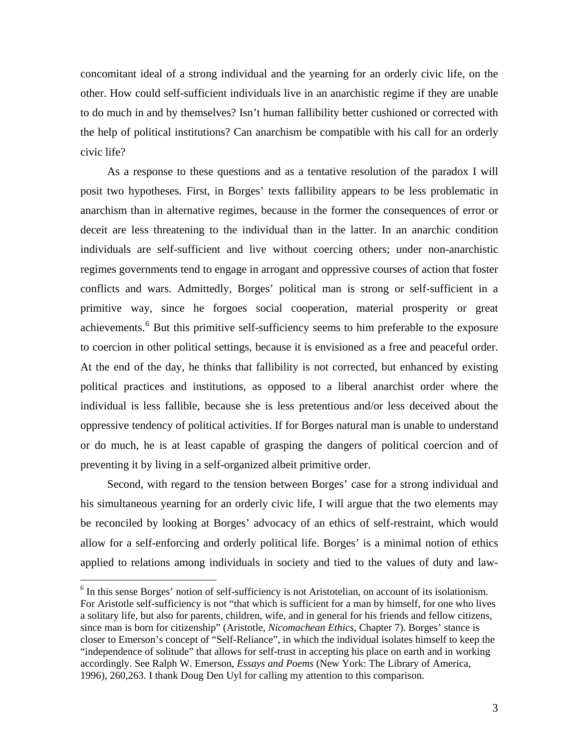concomitant ideal of a strong individual and the yearning for an orderly civic life, on the other. How could self-sufficient individuals live in an anarchistic regime if they are unable to do much in and by themselves? Isn't human fallibility better cushioned or corrected with the help of political institutions? Can anarchism be compatible with his call for an orderly civic life?

As a response to these questions and as a tentative resolution of the paradox I will posit two hypotheses. First, in Borges' texts fallibility appears to be less problematic in anarchism than in alternative regimes, because in the former the consequences of error or deceit are less threatening to the individual than in the latter. In an anarchic condition individuals are self-sufficient and live without coercing others; under non-anarchistic regimes governments tend to engage in arrogant and oppressive courses of action that foster conflicts and wars. Admittedly, Borges' political man is strong or self-sufficient in a primitive way, since he forgoes social cooperation, material prosperity or great achievements.<sup>[6](#page-2-0)</sup> But this primitive self-sufficiency seems to him preferable to the exposure to coercion in other political settings, because it is envisioned as a free and peaceful order. At the end of the day, he thinks that fallibility is not corrected, but enhanced by existing political practices and institutions, as opposed to a liberal anarchist order where the individual is less fallible, because she is less pretentious and/or less deceived about the oppressive tendency of political activities. If for Borges natural man is unable to understand or do much, he is at least capable of grasping the dangers of political coercion and of preventing it by living in a self-organized albeit primitive order.

Second, with regard to the tension between Borges' case for a strong individual and his simultaneous yearning for an orderly civic life, I will argue that the two elements may be reconciled by looking at Borges' advocacy of an ethics of self-restraint, which would allow for a self-enforcing and orderly political life. Borges' is a minimal notion of ethics applied to relations among individuals in society and tied to the values of duty and law-

<span id="page-2-0"></span><sup>&</sup>lt;sup>6</sup> In this sense Borges' notion of self-sufficiency is not Aristotelian, on account of its isolationism. For Aristotle self-sufficiency is not "that which is sufficient for a man by himself, for one who lives a solitary life, but also for parents, children, wife, and in general for his friends and fellow citizens, since man is born for citizenship" (Aristotle, *Nicomachean Ethics*, Chapter 7). Borges' stance is closer to Emerson's concept of "Self-Reliance", in which the individual isolates himself to keep the "independence of solitude" that allows for self-trust in accepting his place on earth and in working accordingly. See Ralph W. Emerson, *Essays and Poems* (New York: The Library of America, 1996), 260,263. I thank Doug Den Uyl for calling my attention to this comparison.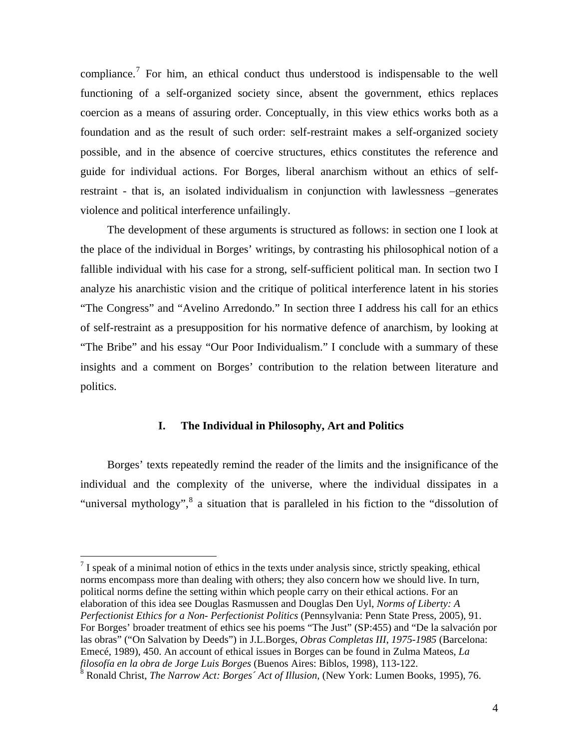compliance.<sup>[7](#page-3-0)</sup> For him, an ethical conduct thus understood is indispensable to the well functioning of a self-organized society since, absent the government, ethics replaces coercion as a means of assuring order. Conceptually, in this view ethics works both as a foundation and as the result of such order: self-restraint makes a self-organized society possible, and in the absence of coercive structures, ethics constitutes the reference and guide for individual actions. For Borges, liberal anarchism without an ethics of selfrestraint - that is, an isolated individualism in conjunction with lawlessness –generates violence and political interference unfailingly.

The development of these arguments is structured as follows: in section one I look at the place of the individual in Borges' writings, by contrasting his philosophical notion of a fallible individual with his case for a strong, self-sufficient political man. In section two I analyze his anarchistic vision and the critique of political interference latent in his stories "The Congress" and "Avelino Arredondo." In section three I address his call for an ethics of self-restraint as a presupposition for his normative defence of anarchism, by looking at "The Bribe" and his essay "Our Poor Individualism." I conclude with a summary of these insights and a comment on Borges' contribution to the relation between literature and politics.

### **I. The Individual in Philosophy, Art and Politics**

Borges' texts repeatedly remind the reader of the limits and the insignificance of the individual and the complexity of the universe, where the individual dissipates in a "universal mythology",<sup>[8](#page-3-1)</sup> a situation that is paralleled in his fiction to the "dissolution of

<span id="page-3-0"></span> $<sup>7</sup>$  I speak of a minimal notion of ethics in the texts under analysis since, strictly speaking, ethical</sup> norms encompass more than dealing with others; they also concern how we should live. In turn, political norms define the setting within which people carry on their ethical actions. For an elaboration of this idea see Douglas Rasmussen and Douglas Den Uyl, *Norms of Liberty: A Perfectionist Ethics for a Non- Perfectionist Politics* (Pennsylvania: Penn State Press, 2005), 91. For Borges' broader treatment of ethics see his poems "The Just" (SP:455) and "De la salvación por las obras" ("On Salvation by Deeds") in J.L.Borges, *Obras Completas III*, *1975-1985* (Barcelona: Emecé, 1989), 450. An account of ethical issues in Borges can be found in Zulma Mateos, *La filosofía en la obra de Jorge Luis Borges* (Buenos Aires: Biblos, 1998), 113-122.

<span id="page-3-1"></span><sup>8</sup> Ronald Christ, *The Narrow Act: Borges´ Act of Illusion,* (New York: Lumen Books, 1995), 76.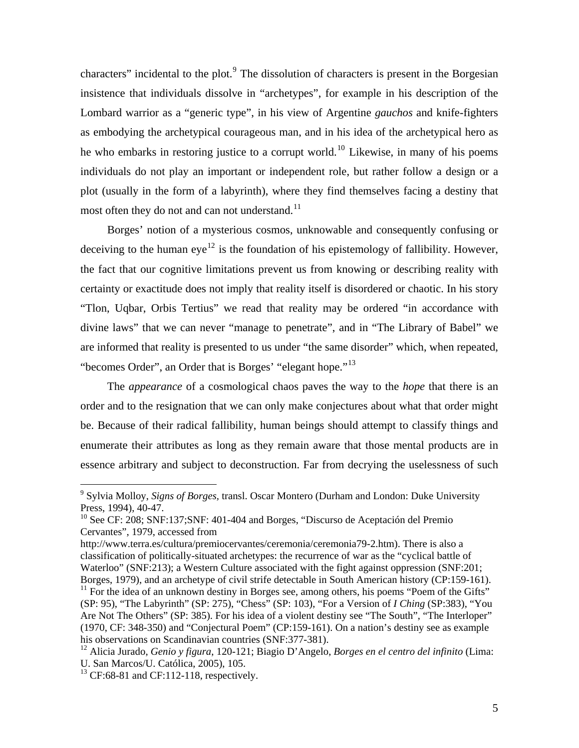characters" incidental to the plot. $9$  The dissolution of characters is present in the Borgesian insistence that individuals dissolve in "archetypes", for example in his description of the Lombard warrior as a "generic type", in his view of Argentine *gauchos* and knife-fighters as embodying the archetypical courageous man, and in his idea of the archetypical hero as he who embarks in restoring justice to a corrupt world.<sup>[10](#page-4-1)</sup> Likewise, in many of his poems individuals do not play an important or independent role, but rather follow a design or a plot (usually in the form of a labyrinth), where they find themselves facing a destiny that most often they do not and can not understand. $^{11}$  $^{11}$  $^{11}$ 

Borges' notion of a mysterious cosmos, unknowable and consequently confusing or deceiving to the human eye<sup>[12](#page-4-3)</sup> is the foundation of his epistemology of fallibility. However, the fact that our cognitive limitations prevent us from knowing or describing reality with certainty or exactitude does not imply that reality itself is disordered or chaotic. In his story "Tlon, Uqbar, Orbis Tertius" we read that reality may be ordered "in accordance with divine laws" that we can never "manage to penetrate", and in "The Library of Babel" we are informed that reality is presented to us under "the same disorder" which, when repeated, "becomes Order", an Order that is Borges' "elegant hope."<sup>[13](#page-4-4)</sup>

The *appearance* of a cosmological chaos paves the way to the *hope* that there is an order and to the resignation that we can only make conjectures about what that order might be. Because of their radical fallibility, human beings should attempt to classify things and enumerate their attributes as long as they remain aware that those mental products are in essence arbitrary and subject to deconstruction. Far from decrying the uselessness of such

<span id="page-4-0"></span><sup>9</sup> Sylvia Molloy, *Signs of Borges,* transl. Oscar Montero (Durham and London: Duke University Press, 1994), 40-47.

<span id="page-4-1"></span> $10$  See CF: 208; SNF:137; SNF: 401-404 and Borges, "Discurso de Aceptación del Premio Cervantes", 1979, accessed from

<http://www.terra.es/cultura/premiocervantes/ceremonia/ceremonia79-2.htm>). There is also a classification of politically-situated archetypes: the recurrence of war as the "cyclical battle of Waterloo" (SNF:213); a Western Culture associated with the fight against oppression (SNF:201; Borges, 1979), and an archetype of civil strife detectable in South American history (CP:159-161).

<span id="page-4-2"></span> $11$  For the idea of an unknown destiny in Borges see, among others, his poems "Poem of the Gifts" (SP: 95), "The Labyrinth" (SP: 275), "Chess" (SP: 103), "For a Version of *I Ching* (SP:383), "You Are Not The Others" (SP: 385). For his idea of a violent destiny see "The South", "The Interloper" (1970, CF: 348-350) and "Conjectural Poem" (CP:159-161). On a nation's destiny see as example his observations on Scandinavian countries (SNF:377-381).

<span id="page-4-3"></span><sup>12</sup> Alicia Jurado, *Genio y figura*, 120-121; Biagio D'Angelo, *Borges en el centro del infinito* (Lima: U. San Marcos/U. Católica, 2005), 105.

<span id="page-4-4"></span> $13$  CF:68-81 and CF:112-118, respectively.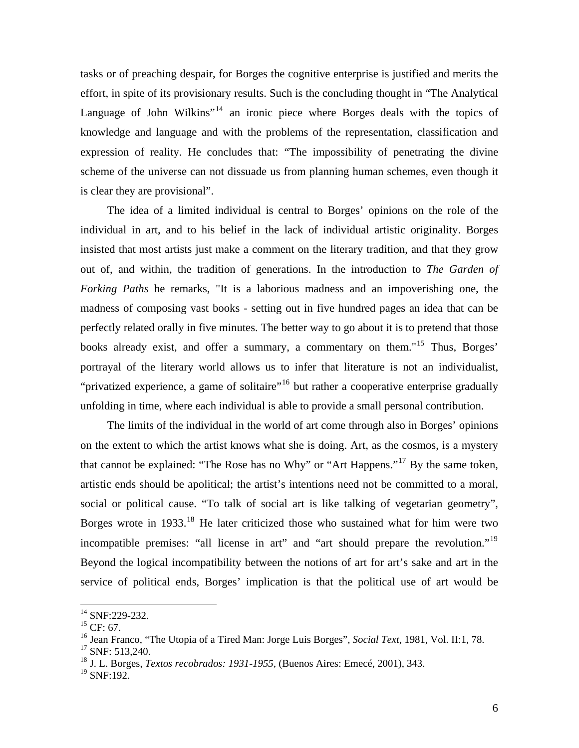tasks or of preaching despair, for Borges the cognitive enterprise is justified and merits the effort, in spite of its provisionary results. Such is the concluding thought in "The Analytical Language of John Wilkins"<sup>[14](#page-5-0)</sup> an ironic piece where Borges deals with the topics of knowledge and language and with the problems of the representation, classification and expression of reality. He concludes that: "The impossibility of penetrating the divine scheme of the universe can not dissuade us from planning human schemes, even though it is clear they are provisional".

The idea of a limited individual is central to Borges' opinions on the role of the individual in art, and to his belief in the lack of individual artistic originality. Borges insisted that most artists just make a comment on the literary tradition, and that they grow out of, and within, the tradition of generations. In the introduction to *The Garden of Forking Paths* he remarks, "It is a laborious madness and an impoverishing one, the madness of composing vast books - setting out in five hundred pages an idea that can be perfectly related orally in five minutes. The better way to go about it is to pretend that those books already exist, and offer a summary, a commentary on them."[15](#page-5-1) Thus, Borges' portrayal of the literary world allows us to infer that literature is not an individualist, "privatized experience, a game of solitaire"<sup>[16](#page-5-2)</sup> but rather a cooperative enterprise gradually unfolding in time, where each individual is able to provide a small personal contribution.

The limits of the individual in the world of art come through also in Borges' opinions on the extent to which the artist knows what she is doing. Art, as the cosmos, is a mystery that cannot be explained: "The Rose has no Why" or "Art Happens."<sup>[17](#page-5-3)</sup> By the same token, artistic ends should be apolitical; the artist's intentions need not be committed to a moral, social or political cause. "To talk of social art is like talking of vegetarian geometry", Borges wrote in 1933.<sup>[18](#page-5-4)</sup> He later criticized those who sustained what for him were two incompatible premises: "all license in art" and "art should prepare the revolution."<sup>[19](#page-5-5)</sup> Beyond the logical incompatibility between the notions of art for art's sake and art in the service of political ends, Borges' implication is that the political use of art would be

<span id="page-5-0"></span> $14$  SNF:229-232.

<span id="page-5-1"></span> $15$  CF: 67.

<span id="page-5-2"></span><sup>16</sup> Jean Franco, "The Utopia of a Tired Man: Jorge Luis Borges", *Social Text*, 1981, Vol. II:1, 78.

<span id="page-5-3"></span> $17$  SNF: 513,240.

<span id="page-5-4"></span><sup>18</sup> J. L. Borges, *Textos recobrados: 1931-1955,* (Buenos Aires: Emecé, 2001), 343.

<span id="page-5-5"></span><sup>&</sup>lt;sup>19</sup> SNF:192.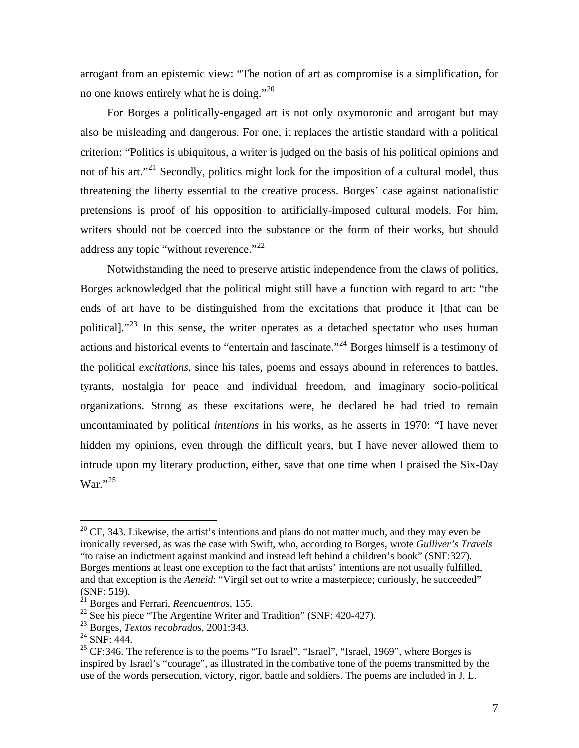arrogant from an epistemic view: "The notion of art as compromise is a simplification, for no one knows entirely what he is doing."<sup>[20](#page-6-0)</sup>

For Borges a politically-engaged art is not only oxymoronic and arrogant but may also be misleading and dangerous. For one, it replaces the artistic standard with a political criterion: "Politics is ubiquitous, a writer is judged on the basis of his political opinions and not of his art."<sup>[21](#page-6-1)</sup> Secondly, politics might look for the imposition of a cultural model, thus threatening the liberty essential to the creative process. Borges' case against nationalistic pretensions is proof of his opposition to artificially-imposed cultural models. For him, writers should not be coerced into the substance or the form of their works, but should address any topic "without reverence."<sup>[22](#page-6-2)</sup>

Notwithstanding the need to preserve artistic independence from the claws of politics, Borges acknowledged that the political might still have a function with regard to art: "the ends of art have to be distinguished from the excitations that produce it [that can be political]."<sup>[23](#page-6-3)</sup> In this sense, the writer operates as a detached spectator who uses human actions and historical events to "entertain and fascinate."[24](#page-6-4) Borges himself is a testimony of the political *excitations*, since his tales, poems and essays abound in references to battles, tyrants, nostalgia for peace and individual freedom, and imaginary socio-political organizations. Strong as these excitations were, he declared he had tried to remain uncontaminated by political *intentions* in his works, as he asserts in 1970: "I have never hidden my opinions, even through the difficult years, but I have never allowed them to intrude upon my literary production, either, save that one time when I praised the Six-Day War." $^{25}$  $^{25}$  $^{25}$ 

<span id="page-6-0"></span> $20$  CF, 343. Likewise, the artist's intentions and plans do not matter much, and they may even be ironically reversed, as was the case with Swift, who, according to Borges, wrote *Gulliver's Travels* "to raise an indictment against mankind and instead left behind a children's book" (SNF:327). Borges mentions at least one exception to the fact that artists' intentions are not usually fulfilled, and that exception is the *Aeneid*: "Virgil set out to write a masterpiece; curiously, he succeeded" (SNF: 519).

<span id="page-6-1"></span><sup>21</sup> Borges and Ferrari, *Reencuentros*, 155.

<span id="page-6-2"></span> $^{22}$  See his piece "The Argentine Writer and Tradition" (SNF: 420-427).

<span id="page-6-3"></span><sup>23</sup> Borges, *Textos recobrados*, 2001:343.

<span id="page-6-4"></span><sup>&</sup>lt;sup>24</sup> SNF: 444.

<span id="page-6-5"></span><sup>&</sup>lt;sup>25</sup> CF:346. The reference is to the poems "To Israel", "Israel", "Israel, 1969", where Borges is inspired by Israel's "courage", as illustrated in the combative tone of the poems transmitted by the use of the words persecution, victory, rigor, battle and soldiers. The poems are included in J. L.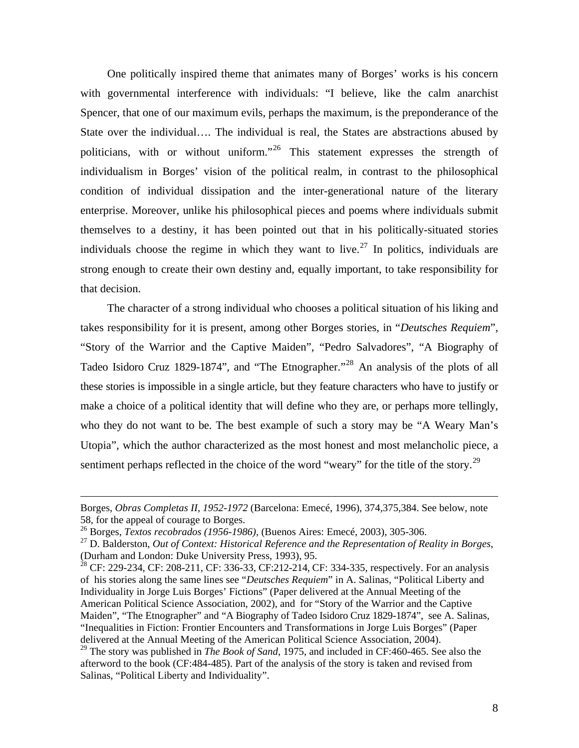One politically inspired theme that animates many of Borges' works is his concern with governmental interference with individuals: "I believe, like the calm anarchist Spencer, that one of our maximum evils, perhaps the maximum, is the preponderance of the State over the individual…. The individual is real, the States are abstractions abused by politicians, with or without uniform."[26](#page-7-0) This statement expresses the strength of individualism in Borges' vision of the political realm, in contrast to the philosophical condition of individual dissipation and the inter-generational nature of the literary enterprise. Moreover, unlike his philosophical pieces and poems where individuals submit themselves to a destiny, it has been pointed out that in his politically-situated stories individuals choose the regime in which they want to live.<sup>[27](#page-7-1)</sup> In politics, individuals are strong enough to create their own destiny and, equally important, to take responsibility for that decision.

The character of a strong individual who chooses a political situation of his liking and takes responsibility for it is present, among other Borges stories, in "*Deutsches Requiem*", "Story of the Warrior and the Captive Maiden", "Pedro Salvadores", "A Biography of Tadeo Isidoro Cruz 1829-1874", and "The Etnographer."[28](#page-7-2) An analysis of the plots of all these stories is impossible in a single article, but they feature characters who have to justify or make a choice of a political identity that will define who they are, or perhaps more tellingly, who they do not want to be. The best example of such a story may be "A Weary Man's Utopia", which the author characterized as the most honest and most melancholic piece, a sentiment perhaps reflected in the choice of the word "weary" for the title of the story.<sup>[29](#page-7-3)</sup>

Borges, *Obras Completas II*, *1952-1972* (Barcelona: Emecé, 1996), 374,375,384. See below, note 58, for the appeal of courage to Borges.

<span id="page-7-0"></span><sup>26</sup> Borges, *Textos recobrados (1956-1986),* (Buenos Aires: Emecé, 2003), 305-306.

<span id="page-7-1"></span><sup>27</sup> D. Balderston, *Out of Context: Historical Reference and the Representation of Reality in Borges*, (Durham and London: Duke University Press, 1993), 95.

<span id="page-7-3"></span><span id="page-7-2"></span><sup>&</sup>lt;sup>28</sup> CF: 229-234, CF: 208-211, CF: 336-33, CF: 212-214, CF: 334-335, respectively. For an analysis of his stories along the same lines see "*Deutsches Requiem*" in A. Salinas, "Political Liberty and Individuality in Jorge Luis Borges' Fictions" (Paper delivered at the Annual Meeting of the American Political Science Association, 2002), and for "Story of the Warrior and the Captive Maiden", "The Etnographer" and "A Biography of Tadeo Isidoro Cruz 1829-1874", see A. Salinas, "Inequalities in Fiction: Frontier Encounters and Transformations in Jorge Luis Borges" (Paper delivered at the Annual Meeting of the American Political Science Association, 2004). <sup>29</sup> The story was published in *The Book of Sand*, 1975, and included in CF:460-465. See also the afterword to the book (CF:484-485). Part of the analysis of the story is taken and revised from Salinas, "Political Liberty and Individuality".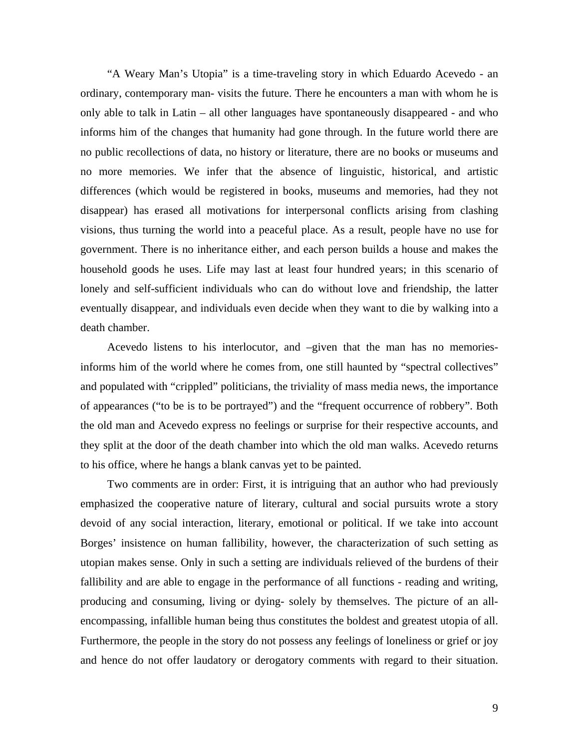"A Weary Man's Utopia" is a time-traveling story in which Eduardo Acevedo - an ordinary, contemporary man- visits the future. There he encounters a man with whom he is only able to talk in Latin – all other languages have spontaneously disappeared - and who informs him of the changes that humanity had gone through. In the future world there are no public recollections of data, no history or literature, there are no books or museums and no more memories. We infer that the absence of linguistic, historical, and artistic differences (which would be registered in books, museums and memories, had they not disappear) has erased all motivations for interpersonal conflicts arising from clashing visions, thus turning the world into a peaceful place. As a result, people have no use for government. There is no inheritance either, and each person builds a house and makes the household goods he uses. Life may last at least four hundred years; in this scenario of lonely and self-sufficient individuals who can do without love and friendship, the latter eventually disappear, and individuals even decide when they want to die by walking into a death chamber.

Acevedo listens to his interlocutor, and –given that the man has no memoriesinforms him of the world where he comes from, one still haunted by "spectral collectives" and populated with "crippled" politicians, the triviality of mass media news, the importance of appearances ("to be is to be portrayed") and the "frequent occurrence of robbery". Both the old man and Acevedo express no feelings or surprise for their respective accounts, and they split at the door of the death chamber into which the old man walks. Acevedo returns to his office, where he hangs a blank canvas yet to be painted.

Two comments are in order: First, it is intriguing that an author who had previously emphasized the cooperative nature of literary, cultural and social pursuits wrote a story devoid of any social interaction, literary, emotional or political. If we take into account Borges' insistence on human fallibility, however, the characterization of such setting as utopian makes sense. Only in such a setting are individuals relieved of the burdens of their fallibility and are able to engage in the performance of all functions - reading and writing, producing and consuming, living or dying- solely by themselves. The picture of an allencompassing, infallible human being thus constitutes the boldest and greatest utopia of all. Furthermore, the people in the story do not possess any feelings of loneliness or grief or joy and hence do not offer laudatory or derogatory comments with regard to their situation.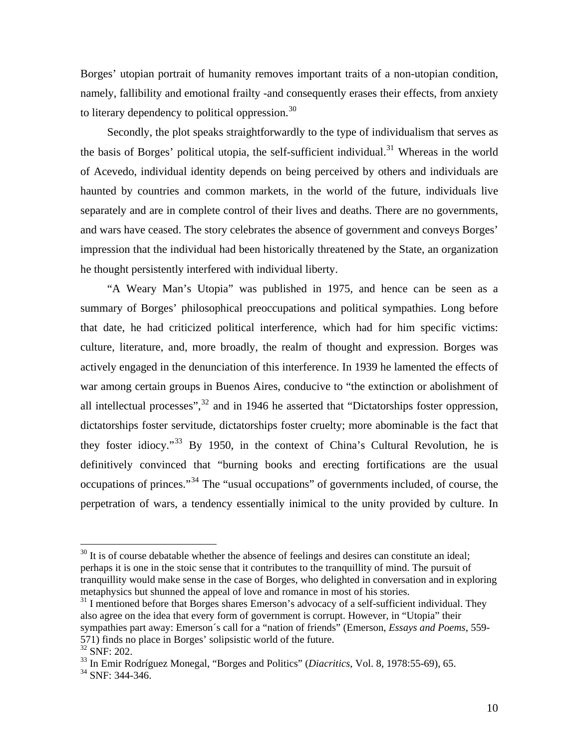Borges' utopian portrait of humanity removes important traits of a non-utopian condition, namely, fallibility and emotional frailty -and consequently erases their effects, from anxiety to literary dependency to political oppression. $30$ 

Secondly, the plot speaks straightforwardly to the type of individualism that serves as the basis of Borges' political utopia, the self-sufficient individual.<sup>[31](#page-9-1)</sup> Whereas in the world of Acevedo, individual identity depends on being perceived by others and individuals are haunted by countries and common markets, in the world of the future, individuals live separately and are in complete control of their lives and deaths. There are no governments, and wars have ceased. The story celebrates the absence of government and conveys Borges' impression that the individual had been historically threatened by the State, an organization he thought persistently interfered with individual liberty.

"A Weary Man's Utopia" was published in 1975, and hence can be seen as a summary of Borges' philosophical preoccupations and political sympathies. Long before that date, he had criticized political interference, which had for him specific victims: culture, literature, and, more broadly, the realm of thought and expression. Borges was actively engaged in the denunciation of this interference. In 1939 he lamented the effects of war among certain groups in Buenos Aires, conducive to "the extinction or abolishment of all intellectual processes",  $32$  and in 1946 he asserted that "Dictatorships foster oppression, dictatorships foster servitude, dictatorships foster cruelty; more abominable is the fact that they foster idiocy."[33](#page-9-3) By 1950, in the context of China's Cultural Revolution, he is definitively convinced that "burning books and erecting fortifications are the usual occupations of princes."[34](#page-9-4) The "usual occupations" of governments included, of course, the perpetration of wars, a tendency essentially inimical to the unity provided by culture. In

<span id="page-9-0"></span> $30$  It is of course debatable whether the absence of feelings and desires can constitute an ideal; perhaps it is one in the stoic sense that it contributes to the tranquillity of mind. The pursuit of tranquillity would make sense in the case of Borges, who delighted in conversation and in exploring metaphysics but shunned the appeal of love and romance in most of his stories.

<span id="page-9-1"></span> $31$  I mentioned before that Borges shares Emerson's advocacy of a self-sufficient individual. They also agree on the idea that every form of government is corrupt. However, in "Utopia" their sympathies part away: Emerson´s call for a "nation of friends" (Emerson, *Essays and Poems*, 559- 571) finds no place in Borges' solipsistic world of the future.

<span id="page-9-2"></span><sup>32</sup> SNF: 202.

<span id="page-9-3"></span><sup>33</sup> In Emir Rodríguez Monegal, "Borges and Politics" (*Diacritics*, Vol. 8, 1978:55-69), 65.

<span id="page-9-4"></span> $34$  SNF: 344-346.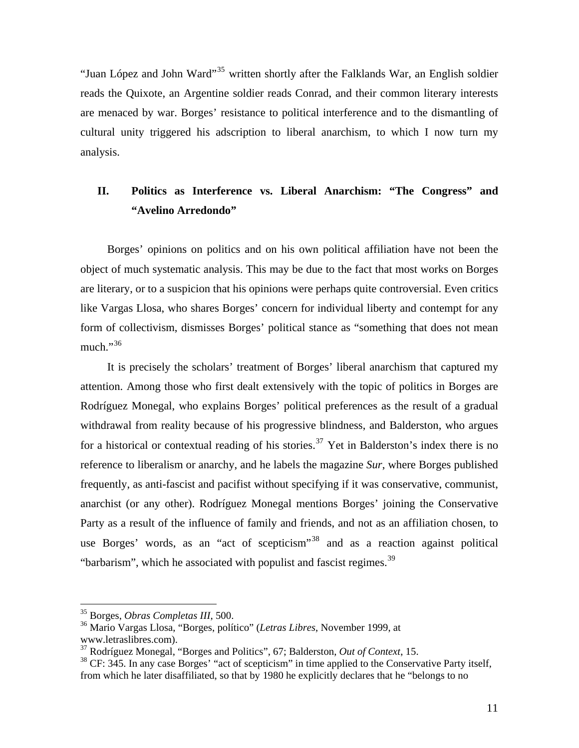"Juan López and John Ward"[35](#page-10-0) written shortly after the Falklands War, an English soldier reads the Quixote, an Argentine soldier reads Conrad, and their common literary interests are menaced by war. Borges' resistance to political interference and to the dismantling of cultural unity triggered his adscription to liberal anarchism, to which I now turn my analysis.

## **II. Politics as Interference vs. Liberal Anarchism: "The Congress" and "Avelino Arredondo"**

Borges' opinions on politics and on his own political affiliation have not been the object of much systematic analysis. This may be due to the fact that most works on Borges are literary, or to a suspicion that his opinions were perhaps quite controversial. Even critics like Vargas Llosa, who shares Borges' concern for individual liberty and contempt for any form of collectivism, dismisses Borges' political stance as "something that does not mean much." $36$ 

<span id="page-10-4"></span>It is precisely the scholars' treatment of Borges' liberal anarchism that captured my attention. Among those who first dealt extensively with the topic of politics in Borges are Rodríguez Monegal, who explains Borges' political preferences as the result of a gradual withdrawal from reality because of his progressive blindness, and Balderston, who argues for a historical or contextual reading of his stories.<sup>[37](#page-10-2)</sup> Yet in Balderston's index there is no reference to liberalism or anarchy, and he labels the magazine *Sur*, where Borges published frequently, as anti-fascist and pacifist without specifying if it was conservative, communist, anarchist (or any other). Rodríguez Monegal mentions Borges' joining the Conservative Party as a result of the influence of family and friends, and not as an affiliation chosen, to use Borges' words, as an "act of scepticism"[38](#page-10-3) and as a reaction against political "barbarism", which he associated with populist and fascist regimes. $39$ 

<span id="page-10-0"></span><sup>35</sup> Borges, *Obras Completas III*, 500.

<span id="page-10-1"></span><sup>36</sup> Mario Vargas Llosa, "Borges, político" (*Letras Libres*, November 1999, at www.letraslibres.com).

<span id="page-10-2"></span><sup>37</sup> Rodríguez Monegal, "Borges and Politics", 67; Balderston, *Out of Context*, 15.

<span id="page-10-3"></span><sup>&</sup>lt;sup>38</sup> CF: 345. In any case Borges' "act of scepticism" in time applied to the Conservative Party itself, from which he later disaffiliated, so that by 1980 he explicitly declares that he "belongs to no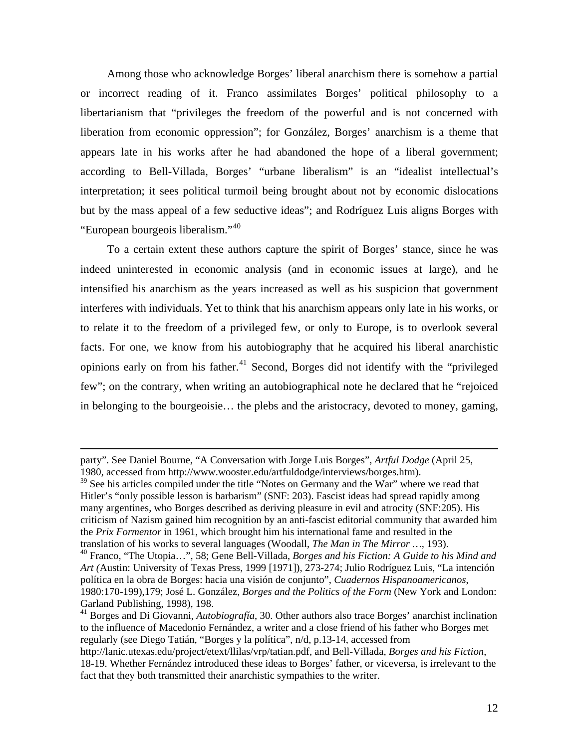Among those who acknowledge Borges' liberal anarchism there is somehow a partial or incorrect reading of it. Franco assimilates Borges' political philosophy to a libertarianism that "privileges the freedom of the powerful and is not concerned with liberation from economic oppression"; for González, Borges' anarchism is a theme that appears late in his works after he had abandoned the hope of a liberal government; according to Bell-Villada, Borges' "urbane liberalism" is an "idealist intellectual's interpretation; it sees political turmoil being brought about not by economic dislocations but by the mass appeal of a few seductive ideas"; and Rodríguez Luis aligns Borges with "European bourgeois liberalism."[40](#page-11-0)

To a certain extent these authors capture the spirit of Borges' stance, since he was indeed uninterested in economic analysis (and in economic issues at large), and he intensified his anarchism as the years increased as well as his suspicion that government interferes with individuals. Yet to think that his anarchism appears only late in his works, or to relate it to the freedom of a privileged few, or only to Europe, is to overlook several facts. For one, we know from his autobiography that he acquired his liberal anarchistic opinions early on from his father.[41](#page-11-1) Second, Borges did not identify with the "privileged few"; on the contrary, when writing an autobiographical note he declared that he "rejoiced in belonging to the bourgeoisie… the plebs and the aristocracy, devoted to money, gaming,

party". See Daniel Bourne, "A Conversation with Jorge Luis Borges", *Artful Dodge* (April 25, 1980, accessed from http://www.wooster.edu/artfuldodge/interviews/borges.htm).

<sup>&</sup>lt;sup>39</sup> See his articles compiled under the title "Notes on Germany and the War" where we read that Hitler's "only possible lesson is barbarism" (SNF: 203). Fascist ideas had spread rapidly among many argentines, who Borges described as deriving pleasure in evil and atrocity (SNF:205). His criticism of Nazism gained him recognition by an anti-fascist editorial community that awarded him the *Prix Formentor* in 1961, which brought him his international fame and resulted in the translation of his works to several languages (Woodall, *The Man in The Mirror …,* 193).

<span id="page-11-0"></span><sup>40</sup> Franco, "The Utopia…", 58; Gene Bell-Villada, *Borges and his Fiction: A Guide to his Mind and Art (*Austin: University of Texas Press, 1999 [1971]), 273-274; Julio Rodríguez Luis, "La intención política en la obra de Borges: hacia una visión de conjunto", *Cuadernos Hispanoamericanos*, 1980:170-199),179; José L. González, *Borges and the Politics of the Form* (New York and London:

<span id="page-11-1"></span>Garland Publishing, 1998), 198.<br><sup>41</sup> Borges and Di Giovanni Auto 41 Borges and Di Giovanni, *Autobiografía*, 30. Other authors also trace Borges' anarchist inclination to the influence of Macedonio Fernández, a writer and a close friend of his father who Borges met regularly (see Diego Tatián, "Borges y la política", n/d, p.13-14, accessed from

<http://lanic.utexas.edu/project/etext/llilas/vrp/tatian.pdf>, and Bell-Villada, *Borges and his Fiction*, 18-19. Whether Fernández introduced these ideas to Borges' father, or viceversa, is irrelevant to the fact that they both transmitted their anarchistic sympathies to the writer.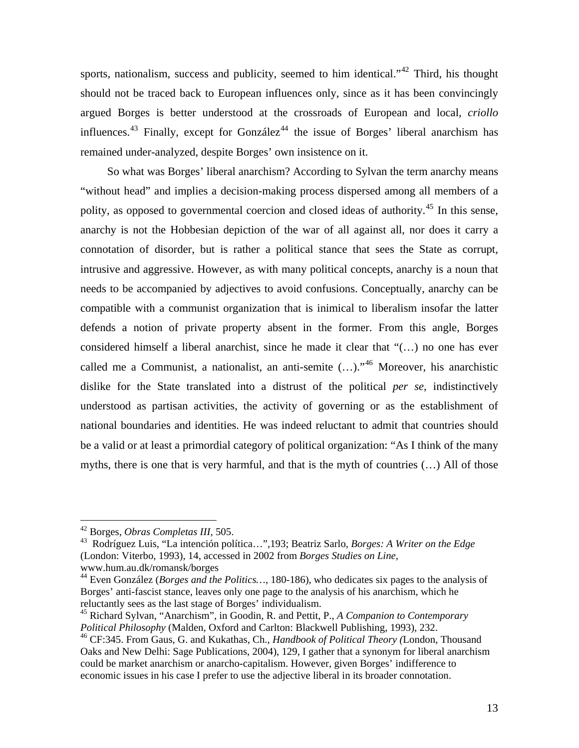sports, nationalism, success and publicity, seemed to him identical."<sup>[42](#page-12-0)</sup> Third, his thought should not be traced back to European influences only, since as it has been convincingly argued Borges is better understood at the crossroads of European and local, *criollo* influences.<sup>[43](#page-12-1)</sup> Finally, except for González<sup>[44](#page-12-2)</sup> the issue of Borges' liberal anarchism has remained under-analyzed, despite Borges' own insistence on it.

So what was Borges' liberal anarchism? According to Sylvan the term anarchy means "without head" and implies a decision-making process dispersed among all members of a polity, as opposed to governmental coercion and closed ideas of authority.<sup>[45](#page-12-3)</sup> In this sense, anarchy is not the Hobbesian depiction of the war of all against all, nor does it carry a connotation of disorder, but is rather a political stance that sees the State as corrupt, intrusive and aggressive. However, as with many political concepts, anarchy is a noun that needs to be accompanied by adjectives to avoid confusions. Conceptually, anarchy can be compatible with a communist organization that is inimical to liberalism insofar the latter defends a notion of private property absent in the former. From this angle, Borges considered himself a liberal anarchist, since he made it clear that "(…) no one has ever called me a Communist, a nationalist, an anti-semite  $(...).$ <sup>[46](#page-12-4)</sup> Moreover, his anarchistic dislike for the State translated into a distrust of the political *per se*, indistinctively understood as partisan activities, the activity of governing or as the establishment of national boundaries and identities. He was indeed reluctant to admit that countries should be a valid or at least a primordial category of political organization: "As I think of the many myths, there is one that is very harmful, and that is the myth of countries (…) All of those

<sup>42</sup> Borges, *Obras Completas III*, 505.

<span id="page-12-1"></span><span id="page-12-0"></span><sup>43</sup> Rodríguez Luis, "La intención política…",193; Beatriz Sarlo, *Borges: A Writer on the Edge* (London: Viterbo, 1993), 14, accessed in 2002 from *Borges Studies on Line*, [www.hum.au.dk/romansk/borges](http://www.hum.au.dk/romansk/borges) [44](http://www.hum.au.dk/romansk/borges) Even González (*Borges and the Politics…*, 180-186), who dedicates six pages to the analysis of

<span id="page-12-2"></span>Borges' anti-fascist stance, leaves only one page to the analysis of his anarchism, which he reluctantly sees as the last stage of Borges' individualism.

<span id="page-12-3"></span><sup>45</sup> Richard Sylvan, "Anarchism", in Goodin, R. and Pettit, P., *A Companion to Contemporary Political Philosophy* (Malden, Oxford and Carlton: Blackwell Publishing, 1993), 232.

<span id="page-12-4"></span><sup>46</sup> CF:345. From Gaus, G. and Kukathas, Ch., *Handbook of Political Theory (*London, Thousand Oaks and New Delhi: Sage Publications, 2004), 129, I gather that a synonym for liberal anarchism could be market anarchism or anarcho-capitalism. However, given Borges' indifference to economic issues in his case I prefer to use the adjective liberal in its broader connotation.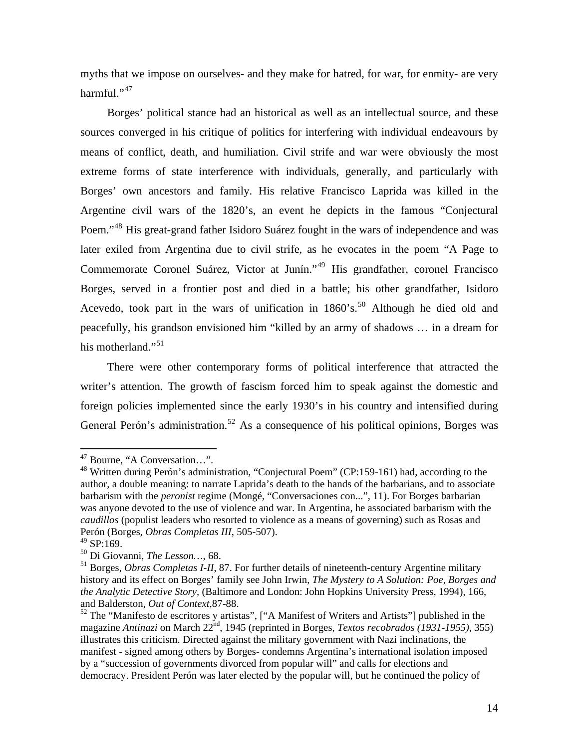myths that we impose on ourselves- and they make for hatred, for war, for enmity- are very harmful."<sup>[47](#page-13-0)</sup>

Borges' political stance had an historical as well as an intellectual source, and these sources converged in his critique of politics for interfering with individual endeavours by means of conflict, death, and humiliation. Civil strife and war were obviously the most extreme forms of state interference with individuals, generally, and particularly with Borges' own ancestors and family. His relative Francisco Laprida was killed in the Argentine civil wars of the 1820's, an event he depicts in the famous "Conjectural Poem."[48](#page-13-1) His great-grand father Isidoro Suárez fought in the wars of independence and was later exiled from Argentina due to civil strife, as he evocates in the poem "A Page to Commemorate Coronel Suárez, Victor at Junín."[49](#page-13-2) His grandfather, coronel Francisco Borges, served in a frontier post and died in a battle; his other grandfather, Isidoro Acevedo, took part in the wars of unification in  $1860$ 's.<sup>[50](#page-13-3)</sup> Although he died old and peacefully, his grandson envisioned him "killed by an army of shadows … in a dream for his motherland."<sup>[51](#page-13-4)</sup>

There were other contemporary forms of political interference that attracted the writer's attention. The growth of fascism forced him to speak against the domestic and foreign policies implemented since the early 1930's in his country and intensified during General Perón's administration.<sup>[52](#page-13-5)</sup> As a consequence of his political opinions, Borges was

<span id="page-13-0"></span><sup>47</sup> Bourne, "A Conversation…".

<span id="page-13-1"></span><sup>&</sup>lt;sup>48</sup> Written during Perón's administration, "Conjectural Poem" (CP:159-161) had, according to the author, a double meaning: to narrate Laprida's death to the hands of the barbarians, and to associate barbarism with the *peronist* regime (Mongé, "Conversaciones con...", 11). For Borges barbarian was anyone devoted to the use of violence and war. In Argentina, he associated barbarism with the *caudillos* (populist leaders who resorted to violence as a means of governing) such as Rosas and Perón (Borges, *Obras Completas III*, 505-507).

<span id="page-13-2"></span> $49$  SP:169.

<span id="page-13-3"></span><sup>50</sup> Di Giovanni, *The Lesson…*, 68.

<span id="page-13-4"></span><sup>&</sup>lt;sup>51</sup> Borges, *Obras Completas I-II*, 87. For further details of nineteenth-century Argentine military history and its effect on Borges' family see John Irwin, *The Mystery to A Solution: Poe, Borges and the Analytic Detective Story*, (Baltimore and London: John Hopkins University Press, 1994), 166, and Balderston, *Out of Context*,87-88.

<span id="page-13-5"></span> $52$  The "Manifesto de escritores y artistas", ["A Manifest of Writers and Artists"] published in the magazine *Antinazi* on March 22nd, 1945 (reprinted in Borges, *Textos recobrados (1931-1955)*, 355) illustrates this criticism. Directed against the military government with Nazi inclinations, the manifest - signed among others by Borges- condemns Argentina's international isolation imposed by a "succession of governments divorced from popular will" and calls for elections and democracy. President Perón was later elected by the popular will, but he continued the policy of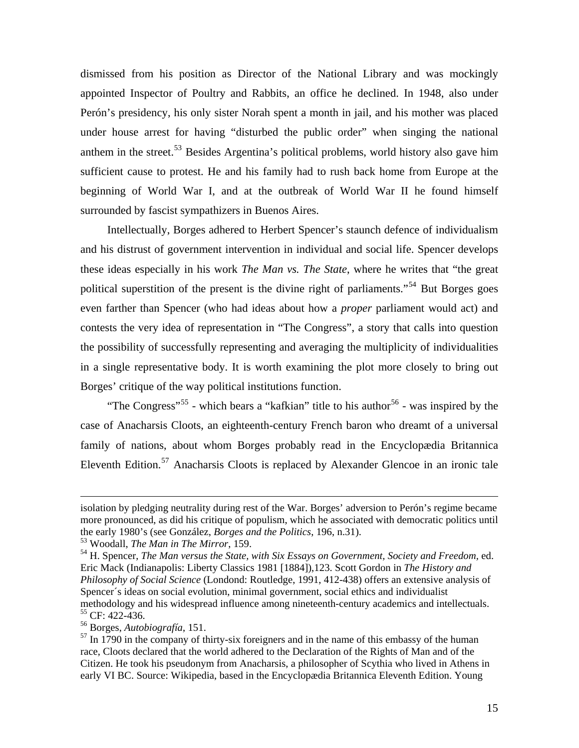dismissed from his position as Director of the National Library and was mockingly appointed Inspector of Poultry and Rabbits, an office he declined. In 1948, also under Perón's presidency, his only sister Norah spent a month in jail, and his mother was placed under house arrest for having "disturbed the public order" when singing the national anthem in the street.<sup>[53](#page-14-0)</sup> Besides Argentina's political problems, world history also gave him sufficient cause to protest. He and his family had to rush back home from Europe at the beginning of World War I, and at the outbreak of World War II he found himself surrounded by fascist sympathizers in Buenos Aires.

Intellectually, Borges adhered to Herbert Spencer's staunch defence of individualism and his distrust of government intervention in individual and social life. Spencer develops these ideas especially in his work *The Man vs. The State*, where he writes that "the great political superstition of the present is the divine right of parliaments."<sup>[54](#page-14-1)</sup> But Borges goes even farther than Spencer (who had ideas about how a *proper* parliament would act) and contests the very idea of representation in "The Congress", a story that calls into question the possibility of successfully representing and averaging the multiplicity of individualities in a single representative body. It is worth examining the plot more closely to bring out Borges' critique of the way political institutions function.

"The Congress"<sup>[55](#page-14-2)</sup> - which bears a "kafkian" title to his author<sup>[56](#page-14-3)</sup> - was inspired by the case of Anacharsis Cloots, an eighteenth-century French [baron](http://en.wikipedia.org/wiki/Baron) who dreamt of a universal family of nations, about whom Borges probably read in the [Encyclopædia Britannica](http://en.wikipedia.org/wiki/Encyclop%C3%A6dia_Britannica_Eleventh_Edition)  [Eleventh Edition](http://en.wikipedia.org/wiki/Encyclop%C3%A6dia_Britannica_Eleventh_Edition).<sup>[57](#page-14-4)</sup> Anacharsis Cloots is replaced by Alexander Glencoe in an ironic tale

isolation by pledging neutrality during rest of the War. Borges' adversion to Perón's regime became more pronounced, as did his critique of populism, which he associated with democratic politics until the early 1980's (see González, *Borges and the Politics*, 196, n.31).

<sup>53</sup> Woodall, *The Man in The Mirror*, 159.

<span id="page-14-1"></span><span id="page-14-0"></span><sup>54</sup> H. Spencer, *The Man versus the State, with Six Essays on Government, Society and Freedom,* ed. Eric Mack (Indianapolis: Liberty Classics 1981 [1884]),123. Scott Gordon in *The History and Philosophy of Social Science* (Londond: Routledge, 1991, 412-438) offers an extensive analysis of Spencer´s ideas on social evolution, minimal government, social ethics and individualist methodology and his widespread influence among nineteenth-century academics and intellectuals.  $55$  CF: 422-436.

<span id="page-14-3"></span><span id="page-14-2"></span><sup>56</sup> Borges, *Autobiografía*, 151.

<span id="page-14-4"></span> $57$  In [1790](http://en.wikipedia.org/wiki/1790) in the company of thirty-six foreigners and in the name of this embassy of the human race, Cloots declared that the world adhered to the [Declaration of the Rights of Man and of the](http://en.wikipedia.org/wiki/Declaration_of_the_Rights_of_Man_and_of_the_Citizen)  [Citizen.](http://en.wikipedia.org/wiki/Declaration_of_the_Rights_of_Man_and_of_the_Citizen) He took his pseudonym from Anacharsis, a philosopher of Scythia who lived in Athens in early VI BC. Source: Wikipedia, based in the [Encyclopædia Britannica Eleventh Edition](http://en.wikipedia.org/wiki/Encyclop%C3%A6dia_Britannica_Eleventh_Edition). Young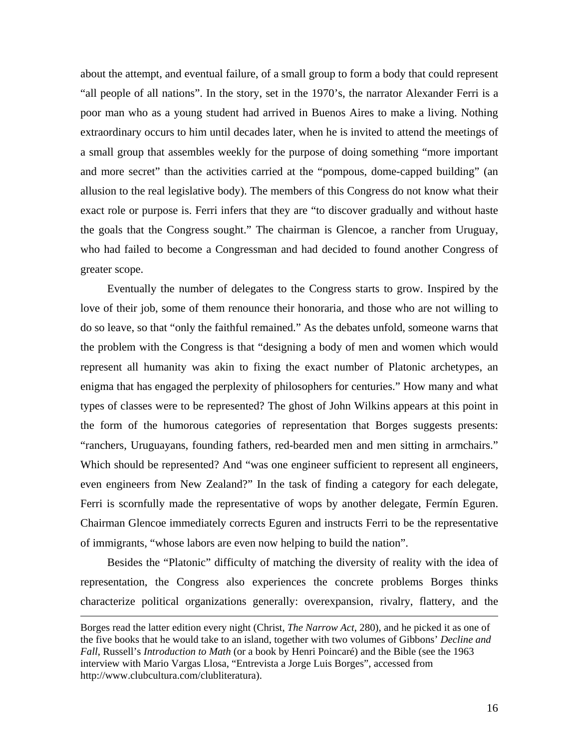about the attempt, and eventual failure, of a small group to form a body that could represent "all people of all nations". In the story, set in the 1970's, the narrator Alexander Ferri is a poor man who as a young student had arrived in Buenos Aires to make a living. Nothing extraordinary occurs to him until decades later, when he is invited to attend the meetings of a small group that assembles weekly for the purpose of doing something "more important and more secret" than the activities carried at the "pompous, dome-capped building" (an allusion to the real legislative body). The members of this Congress do not know what their exact role or purpose is. Ferri infers that they are "to discover gradually and without haste the goals that the Congress sought." The chairman is Glencoe, a rancher from Uruguay, who had failed to become a Congressman and had decided to found another Congress of greater scope.

Eventually the number of delegates to the Congress starts to grow. Inspired by the love of their job, some of them renounce their honoraria, and those who are not willing to do so leave, so that "only the faithful remained." As the debates unfold, someone warns that the problem with the Congress is that "designing a body of men and women which would represent all humanity was akin to fixing the exact number of Platonic archetypes, an enigma that has engaged the perplexity of philosophers for centuries." How many and what types of classes were to be represented? The ghost of John Wilkins appears at this point in the form of the humorous categories of representation that Borges suggests presents: "ranchers, Uruguayans, founding fathers, red-bearded men and men sitting in armchairs." Which should be represented? And "was one engineer sufficient to represent all engineers, even engineers from New Zealand?" In the task of finding a category for each delegate, Ferri is scornfully made the representative of wops by another delegate, Fermín Eguren. Chairman Glencoe immediately corrects Eguren and instructs Ferri to be the representative of immigrants, "whose labors are even now helping to build the nation".

Besides the "Platonic" difficulty of matching the diversity of reality with the idea of representation, the Congress also experiences the concrete problems Borges thinks characterize political organizations generally: overexpansion, rivalry, flattery, and the

Borges read the latter edition every night (Christ, *The Narrow Act*, 280), and he picked it as one of the five books that he would take to an island, together with two volumes of Gibbons' *Decline and Fall*, Russell's *Introduction to Math* (or a book by Henri Poincaré) and the Bible (see the 1963 interview with Mario Vargas Llosa, "Entrevista a Jorge Luis Borges", accessed from [http://www.clubcultura.com/clubliteratura\)](http://www.clubcultura.com/clubliteratura).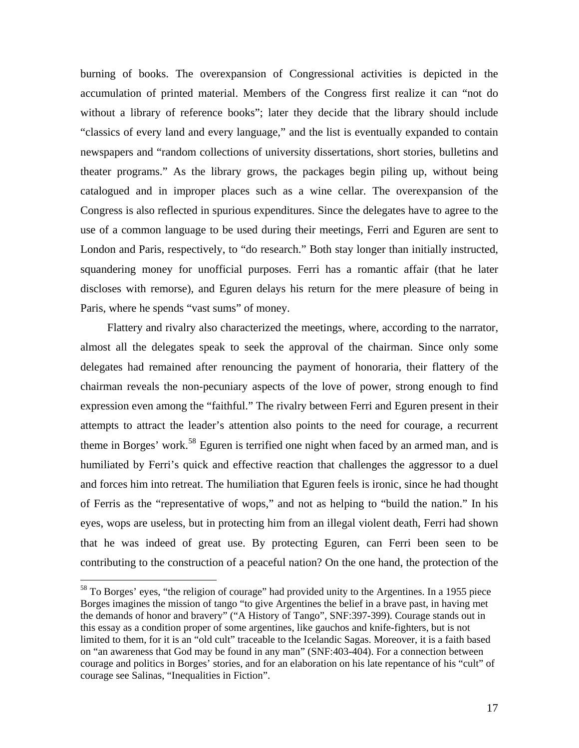burning of books. The overexpansion of Congressional activities is depicted in the accumulation of printed material. Members of the Congress first realize it can "not do without a library of reference books"; later they decide that the library should include "classics of every land and every language," and the list is eventually expanded to contain newspapers and "random collections of university dissertations, short stories, bulletins and theater programs." As the library grows, the packages begin piling up, without being catalogued and in improper places such as a wine cellar. The overexpansion of the Congress is also reflected in spurious expenditures. Since the delegates have to agree to the use of a common language to be used during their meetings, Ferri and Eguren are sent to London and Paris, respectively, to "do research." Both stay longer than initially instructed, squandering money for unofficial purposes. Ferri has a romantic affair (that he later discloses with remorse), and Eguren delays his return for the mere pleasure of being in Paris, where he spends "vast sums" of money.

Flattery and rivalry also characterized the meetings, where, according to the narrator, almost all the delegates speak to seek the approval of the chairman. Since only some delegates had remained after renouncing the payment of honoraria, their flattery of the chairman reveals the non-pecuniary aspects of the love of power, strong enough to find expression even among the "faithful." The rivalry between Ferri and Eguren present in their attempts to attract the leader's attention also points to the need for courage, a recurrent theme in Borges' work.<sup>[58](#page-16-0)</sup> Eguren is terrified one night when faced by an armed man, and is humiliated by Ferri's quick and effective reaction that challenges the aggressor to a duel and forces him into retreat. The humiliation that Eguren feels is ironic, since he had thought of Ferris as the "representative of wops," and not as helping to "build the nation." In his eyes, wops are useless, but in protecting him from an illegal violent death, Ferri had shown that he was indeed of great use. By protecting Eguren, can Ferri been seen to be contributing to the construction of a peaceful nation? On the one hand, the protection of the

<span id="page-16-0"></span> $58$  To Borges' eyes, "the religion of courage" had provided unity to the Argentines. In a 1955 piece Borges imagines the mission of tango "to give Argentines the belief in a brave past, in having met the demands of honor and bravery" ("A History of Tango", SNF:397-399). Courage stands out in this essay as a condition proper of some argentines, like gauchos and knife-fighters, but is not limited to them, for it is an "old cult" traceable to the Icelandic Sagas. Moreover, it is a faith based on "an awareness that God may be found in any man" (SNF:403-404). For a connection between courage and politics in Borges' stories, and for an elaboration on his late repentance of his "cult" of courage see Salinas, "Inequalities in Fiction".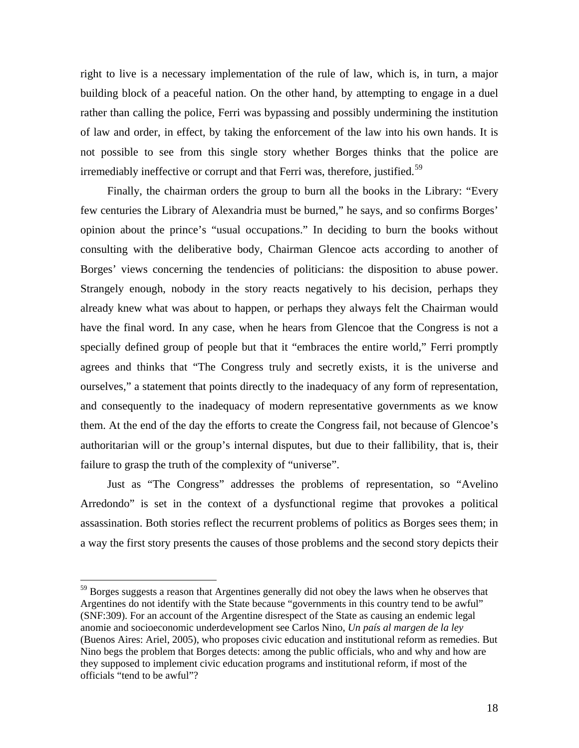right to live is a necessary implementation of the rule of law, which is, in turn, a major building block of a peaceful nation. On the other hand, by attempting to engage in a duel rather than calling the police, Ferri was bypassing and possibly undermining the institution of law and order, in effect, by taking the enforcement of the law into his own hands. It is not possible to see from this single story whether Borges thinks that the police are irremediably ineffective or corrupt and that Ferri was, therefore, justified.<sup>[59](#page-17-0)</sup>

Finally, the chairman orders the group to burn all the books in the Library: "Every few centuries the Library of Alexandria must be burned," he says, and so confirms Borges' opinion about the prince's "usual occupations." In deciding to burn the books without consulting with the deliberative body, Chairman Glencoe acts according to another of Borges' views concerning the tendencies of politicians: the disposition to abuse power. Strangely enough, nobody in the story reacts negatively to his decision, perhaps they already knew what was about to happen, or perhaps they always felt the Chairman would have the final word. In any case, when he hears from Glencoe that the Congress is not a specially defined group of people but that it "embraces the entire world," Ferri promptly agrees and thinks that "The Congress truly and secretly exists, it is the universe and ourselves," a statement that points directly to the inadequacy of any form of representation, and consequently to the inadequacy of modern representative governments as we know them. At the end of the day the efforts to create the Congress fail, not because of Glencoe's authoritarian will or the group's internal disputes, but due to their fallibility, that is, their failure to grasp the truth of the complexity of "universe".

Just as "The Congress" addresses the problems of representation, so "Avelino Arredondo" is set in the context of a dysfunctional regime that provokes a political assassination. Both stories reflect the recurrent problems of politics as Borges sees them; in a way the first story presents the causes of those problems and the second story depicts their

<span id="page-17-0"></span> $59$  Borges suggests a reason that Argentines generally did not obey the laws when he observes that Argentines do not identify with the State because "governments in this country tend to be awful" (SNF:309). For an account of the Argentine disrespect of the State as causing an endemic legal anomie and socioeconomic underdevelopment see Carlos Nino, *Un país al margen de la ley*  (Buenos Aires: Ariel, 2005), who proposes civic education and institutional reform as remedies. But Nino begs the problem that Borges detects: among the public officials, who and why and how are they supposed to implement civic education programs and institutional reform, if most of the officials "tend to be awful"?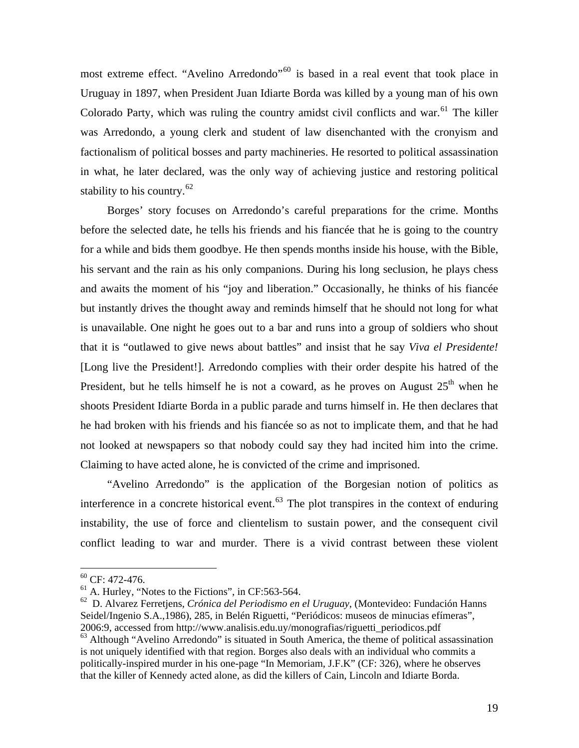most extreme effect. "Avelino Arredondo"<sup>[60](#page-18-0)</sup> is based in a real event that took place in Uruguay in 1897, when President Juan Idiarte Borda was killed by a young man of his own Colorado Party, which was ruling the country amidst civil conflicts and war.<sup>[61](#page-18-1)</sup> The killer was Arredondo, a young clerk and student of law disenchanted with the cronyism and factionalism of political bosses and party machineries. He resorted to political assassination in what, he later declared, was the only way of achieving justice and restoring political stability to his country. $62$ 

Borges' story focuses on Arredondo's careful preparations for the crime. Months before the selected date, he tells his friends and his fiancée that he is going to the country for a while and bids them goodbye. He then spends months inside his house, with the Bible, his servant and the rain as his only companions. During his long seclusion, he plays chess and awaits the moment of his "joy and liberation." Occasionally, he thinks of his fiancée but instantly drives the thought away and reminds himself that he should not long for what is unavailable. One night he goes out to a bar and runs into a group of soldiers who shout that it is "outlawed to give news about battles" and insist that he say *Viva el Presidente!* [Long live the President!]. Arredondo complies with their order despite his hatred of the President, but he tells himself he is not a coward, as he proves on August  $25<sup>th</sup>$  when he shoots President Idiarte Borda in a public parade and turns himself in. He then declares that he had broken with his friends and his fiancée so as not to implicate them, and that he had not looked at newspapers so that nobody could say they had incited him into the crime. Claiming to have acted alone, he is convicted of the crime and imprisoned.

"Avelino Arredondo" is the application of the Borgesian notion of politics as interference in a concrete historical event. $63$  The plot transpires in the context of enduring instability, the use of force and clientelism to sustain power, and the consequent civil conflict leading to war and murder. There is a vivid contrast between these violent

<span id="page-18-0"></span> $60$  CF: 472-476.

<span id="page-18-1"></span><sup>61</sup> A. Hurley, "Notes to the Fictions", in CF:563-564.

<span id="page-18-2"></span><sup>62</sup> D. Alvarez Ferretjens, *Crónica del Periodismo en el Uruguay*, (Montevideo: Fundación Hanns Seidel/Ingenio S.A.,1986), 285, in Belén Riguetti, "Periódicos: museos de minucias efímeras", 2006:9, accessed from [http://www.analisis.edu.uy/monografias/riguetti\\_periodicos.pdf](http://www.analisis.edu.uy/monografias/riguetti_periodicos.pdf)

<span id="page-18-3"></span><sup>&</sup>lt;sup>63</sup> Although "Avelino Arredondo" is situated in South America, the theme of political assassination is not uniquely identified with that region. Borges also deals with an individual who commits a politically-inspired murder in his one-page "In Memoriam, J.F.K" (CF: 326), where he observes that the killer of Kennedy acted alone, as did the killers of Cain, Lincoln and Idiarte Borda.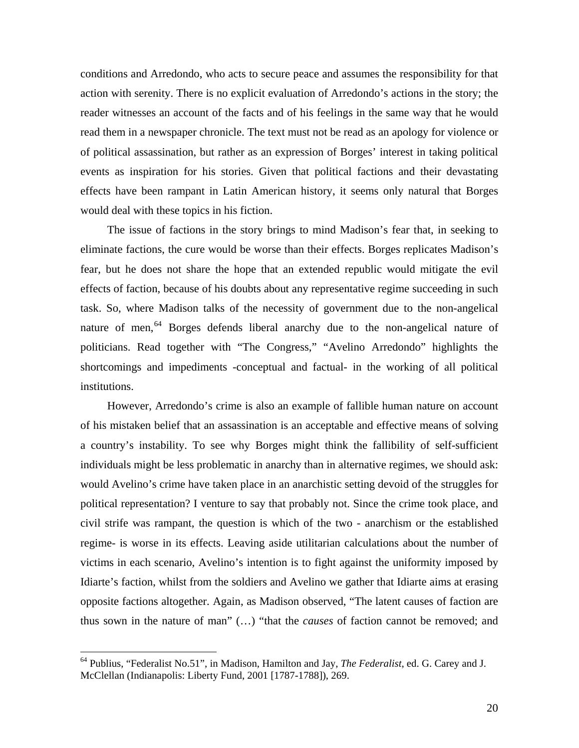conditions and Arredondo, who acts to secure peace and assumes the responsibility for that action with serenity. There is no explicit evaluation of Arredondo's actions in the story; the reader witnesses an account of the facts and of his feelings in the same way that he would read them in a newspaper chronicle. The text must not be read as an apology for violence or of political assassination, but rather as an expression of Borges' interest in taking political events as inspiration for his stories. Given that political factions and their devastating effects have been rampant in Latin American history, it seems only natural that Borges would deal with these topics in his fiction.

The issue of factions in the story brings to mind Madison's fear that, in seeking to eliminate factions, the cure would be worse than their effects. Borges replicates Madison's fear, but he does not share the hope that an extended republic would mitigate the evil effects of faction, because of his doubts about any representative regime succeeding in such task. So, where Madison talks of the necessity of government due to the non-angelical nature of men, $64$  Borges defends liberal anarchy due to the non-angelical nature of politicians. Read together with "The Congress," "Avelino Arredondo" highlights the shortcomings and impediments -conceptual and factual- in the working of all political institutions.

However, Arredondo's crime is also an example of fallible human nature on account of his mistaken belief that an assassination is an acceptable and effective means of solving a country's instability. To see why Borges might think the fallibility of self-sufficient individuals might be less problematic in anarchy than in alternative regimes, we should ask: would Avelino's crime have taken place in an anarchistic setting devoid of the struggles for political representation? I venture to say that probably not. Since the crime took place, and civil strife was rampant, the question is which of the two - anarchism or the established regime- is worse in its effects. Leaving aside utilitarian calculations about the number of victims in each scenario, Avelino's intention is to fight against the uniformity imposed by Idiarte's faction, whilst from the soldiers and Avelino we gather that Idiarte aims at erasing opposite factions altogether. Again, as Madison observed, "The latent causes of faction are thus sown in the nature of man" (…) "that the *causes* of faction cannot be removed; and

<span id="page-19-0"></span><sup>64</sup> Publius, "Federalist No.51", in Madison, Hamilton and Jay, *The Federalist*, ed. G. Carey and J. McClellan (Indianapolis: Liberty Fund, 2001 [1787-1788]), 269.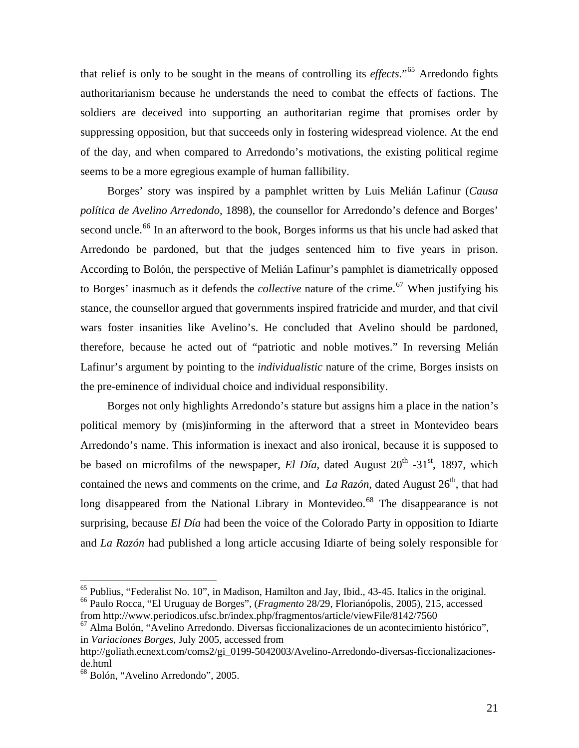that relief is only to be sought in the means of controlling its *effects*."[65](#page-20-0) Arredondo fights authoritarianism because he understands the need to combat the effects of factions. The soldiers are deceived into supporting an authoritarian regime that promises order by suppressing opposition, but that succeeds only in fostering widespread violence. At the end of the day, and when compared to Arredondo's motivations, the existing political regime seems to be a more egregious example of human fallibility.

Borges' story was inspired by a pamphlet written by Luis Melián Lafinur (*Causa política de Avelino Arredondo*, 1898), the counsellor for Arredondo's defence and Borges' second uncle.<sup>[66](#page-20-1)</sup> In an afterword to the book, Borges informs us that his uncle had asked that Arredondo be pardoned, but that the judges sentenced him to five years in prison. According to Bolón, the perspective of Melián Lafinur's pamphlet is diametrically opposed to Borges' inasmuch as it defends the *collective* nature of the crime.<sup>[67](#page-20-2)</sup> When justifying his stance, the counsellor argued that governments inspired fratricide and murder, and that civil wars foster insanities like Avelino's. He concluded that Avelino should be pardoned, therefore, because he acted out of "patriotic and noble motives." In reversing Melián Lafinur's argument by pointing to the *individualistic* nature of the crime, Borges insists on the pre-eminence of individual choice and individual responsibility.

Borges not only highlights Arredondo's stature but assigns him a place in the nation's political memory by (mis)informing in the afterword that a street in Montevideo bears Arredondo's name. This information is inexact and also ironical, because it is supposed to be based on microfilms of the newspaper, *El Día*, dated August  $20<sup>th</sup>$  -31<sup>st</sup>, 1897, which contained the news and comments on the crime, and *La Razón*, dated August  $26<sup>th</sup>$ , that had long disappeared from the National Library in Montevideo.<sup>[68](#page-20-3)</sup> The disappearance is not surprising, because *El Día* had been the voice of the Colorado Party in opposition to Idiarte and *La Razón* had published a long article accusing Idiarte of being solely responsible for

<span id="page-20-1"></span><span id="page-20-0"></span><sup>65</sup> Publius, "Federalist No. 10", in Madison, Hamilton and Jay, Ibid., 43-45. Italics in the original. 66 Paulo Rocca, "El Uruguay de Borges", (*Fragmento* 28/29, Florianópolis, 2005), 215, accessed from<http://www.periodicos.ufsc.br/index.php/fragmentos/article/viewFile/8142/7560>

<span id="page-20-2"></span> $67$  Alma Bolón, "Avelino Arredondo. Diversas ficcionalizaciones de un acontecimiento histórico", in *Variaciones Borges*, July 2005, accessed from

[http://goliath.ecnext.com/coms2/gi\\_0199-5042003/Avelino-Arredondo-diversas-ficcionalizaciones](http://goliath.ecnext.com/coms2/gi_0199-5042003/Avelino-Arredondo-diversas-ficcionalizaciones-de.html)[de.html](http://goliath.ecnext.com/coms2/gi_0199-5042003/Avelino-Arredondo-diversas-ficcionalizaciones-de.html)

<span id="page-20-3"></span><sup>68</sup> Bolón, "Avelino Arredondo", 2005.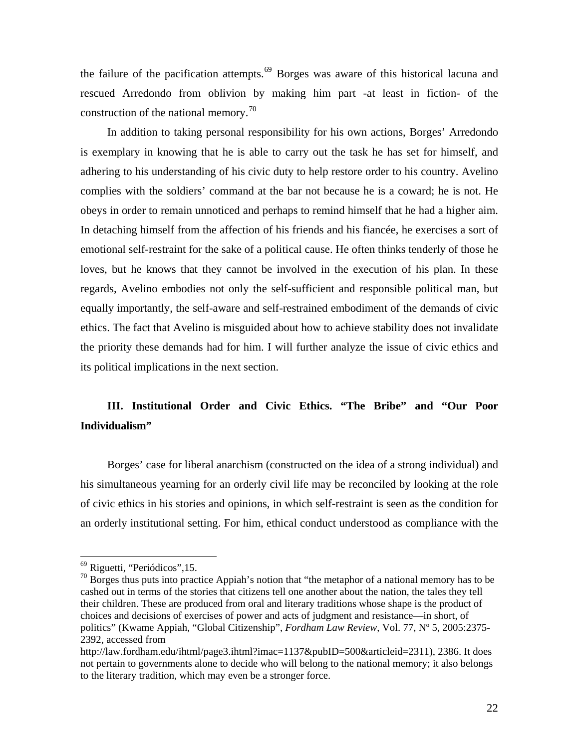the failure of the pacification attempts. $69$  Borges was aware of this historical lacuna and rescued Arredondo from oblivion by making him part -at least in fiction- of the construction of the national memory.<sup>[70](#page-21-1)</sup>

In addition to taking personal responsibility for his own actions, Borges' Arredondo is exemplary in knowing that he is able to carry out the task he has set for himself, and adhering to his understanding of his civic duty to help restore order to his country. Avelino complies with the soldiers' command at the bar not because he is a coward; he is not. He obeys in order to remain unnoticed and perhaps to remind himself that he had a higher aim. In detaching himself from the affection of his friends and his fiancée, he exercises a sort of emotional self-restraint for the sake of a political cause. He often thinks tenderly of those he loves, but he knows that they cannot be involved in the execution of his plan. In these regards, Avelino embodies not only the self-sufficient and responsible political man, but equally importantly, the self-aware and self-restrained embodiment of the demands of civic ethics. The fact that Avelino is misguided about how to achieve stability does not invalidate the priority these demands had for him. I will further analyze the issue of civic ethics and its political implications in the next section.

## **III. Institutional Order and Civic Ethics. "The Bribe" and "Our Poor Individualism"**

Borges' case for liberal anarchism (constructed on the idea of a strong individual) and his simultaneous yearning for an orderly civil life may be reconciled by looking at the role of civic ethics in his stories and opinions, in which self-restraint is seen as the condition for an orderly institutional setting. For him, ethical conduct understood as compliance with the

<span id="page-21-0"></span> $69$  Riguetti, "Periódicos", 15.

<span id="page-21-1"></span> $^{70}$  Borges thus puts into practice Appiah's notion that "the metaphor of a national memory has to be cashed out in terms of the stories that citizens tell one another about the nation, the tales they tell their children. These are produced from oral and literary traditions whose shape is the product of choices and decisions of exercises of power and acts of judgment and resistance—in short, of politics" (Kwame Appiah, "Global Citizenship", *Fordham Law Review*, Vol. 77, Nº 5, 2005:2375- 2392, accessed from

<http://law.fordham.edu/ihtml/page3.ihtml?imac=1137&pubID=500&articleid=2311>), 2386. It does not pertain to governments alone to decide who will belong to the national memory; it also belongs to the literary tradition, which may even be a stronger force.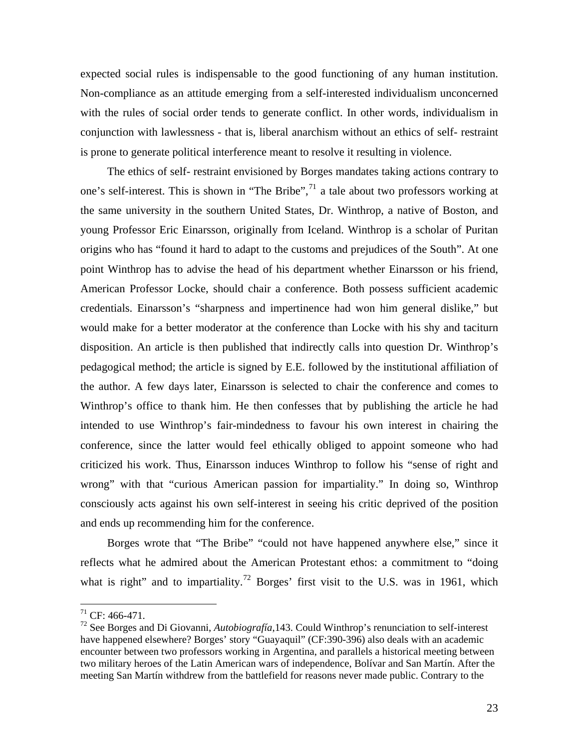expected social rules is indispensable to the good functioning of any human institution. Non-compliance as an attitude emerging from a self-interested individualism unconcerned with the rules of social order tends to generate conflict. In other words, individualism in conjunction with lawlessness - that is, liberal anarchism without an ethics of self- restraint is prone to generate political interference meant to resolve it resulting in violence.

The ethics of self- restraint envisioned by Borges mandates taking actions contrary to one's self-interest. This is shown in "The Bribe",<sup>[71](#page-22-0)</sup> a tale about two professors working at the same university in the southern United States, Dr. Winthrop, a native of Boston, and young Professor Eric Einarsson, originally from Iceland. Winthrop is a scholar of Puritan origins who has "found it hard to adapt to the customs and prejudices of the South". At one point Winthrop has to advise the head of his department whether Einarsson or his friend, American Professor Locke, should chair a conference. Both possess sufficient academic credentials. Einarsson's "sharpness and impertinence had won him general dislike," but would make for a better moderator at the conference than Locke with his shy and taciturn disposition. An article is then published that indirectly calls into question Dr. Winthrop's pedagogical method; the article is signed by E.E. followed by the institutional affiliation of the author. A few days later, Einarsson is selected to chair the conference and comes to Winthrop's office to thank him. He then confesses that by publishing the article he had intended to use Winthrop's fair-mindedness to favour his own interest in chairing the conference, since the latter would feel ethically obliged to appoint someone who had criticized his work. Thus, Einarsson induces Winthrop to follow his "sense of right and wrong" with that "curious American passion for impartiality." In doing so, Winthrop consciously acts against his own self-interest in seeing his critic deprived of the position and ends up recommending him for the conference.

Borges wrote that "The Bribe" "could not have happened anywhere else," since it reflects what he admired about the American Protestant ethos: a commitment to "doing what is right" and to impartiality.<sup>[72](#page-22-1)</sup> Borges' first visit to the U.S. was in 1961, which

 $71$  CF: 466-471.

<span id="page-22-1"></span><span id="page-22-0"></span><sup>72</sup> See Borges and Di Giovanni, *Autobiografía*,143. Could Winthrop's renunciation to self-interest have happened elsewhere? Borges' story "Guayaquil" (CF:390-396) also deals with an academic encounter between two professors working in Argentina, and parallels a historical meeting between two military heroes of the Latin American wars of independence, Bolívar and San Martín. After the meeting San Martín withdrew from the battlefield for reasons never made public. Contrary to the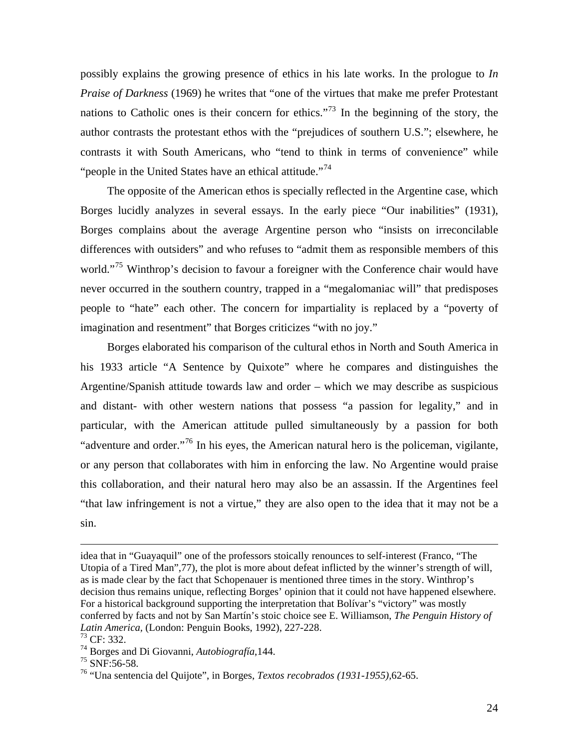possibly explains the growing presence of ethics in his late works. In the prologue to *In Praise of Darkness* (1969) he writes that "one of the virtues that make me prefer Protestant nations to Catholic ones is their concern for ethics."<sup>[73](#page-23-0)</sup> In the beginning of the story, the author contrasts the protestant ethos with the "prejudices of southern U.S."; elsewhere, he contrasts it with South Americans, who "tend to think in terms of convenience" while "people in the United States have an ethical attitude."<sup>[74](#page-23-1)</sup>

The opposite of the American ethos is specially reflected in the Argentine case, which Borges lucidly analyzes in several essays. In the early piece "Our inabilities" (1931), Borges complains about the average Argentine person who "insists on irreconcilable differences with outsiders" and who refuses to "admit them as responsible members of this world."<sup>[75](#page-23-2)</sup> Winthrop's decision to favour a foreigner with the Conference chair would have never occurred in the southern country, trapped in a "megalomaniac will" that predisposes people to "hate" each other. The concern for impartiality is replaced by a "poverty of imagination and resentment" that Borges criticizes "with no joy."

Borges elaborated his comparison of the cultural ethos in North and South America in his 1933 article "A Sentence by Quixote" where he compares and distinguishes the Argentine/Spanish attitude towards law and order – which we may describe as suspicious and distant- with other western nations that possess "a passion for legality," and in particular, with the American attitude pulled simultaneously by a passion for both "adventure and order."[76](#page-23-3) In his eyes, the American natural hero is the policeman, vigilante, or any person that collaborates with him in enforcing the law. No Argentine would praise this collaboration, and their natural hero may also be an assassin. If the Argentines feel "that law infringement is not a virtue," they are also open to the idea that it may not be a sin.

idea that in "Guayaquil" one of the professors stoically renounces to self-interest (Franco, "The Utopia of a Tired Man",77), the plot is more about defeat inflicted by the winner's strength of will, as is made clear by the fact that Schopenauer is mentioned three times in the story. Winthrop's decision thus remains unique, reflecting Borges' opinion that it could not have happened elsewhere. For a historical background supporting the interpretation that Bolívar's "victory" was mostly conferred by facts and not by San Martín's stoic choice see E. Williamson, *The Penguin History of Latin America,* (London: Penguin Books, 1992), 227-228.

<span id="page-23-0"></span><sup>73</sup> CF: 332.

<span id="page-23-1"></span><sup>74</sup> Borges and Di Giovanni, *Autobiografía*,144.

<span id="page-23-2"></span> $^{75}$  SNF: 56-58.

<span id="page-23-3"></span><sup>76 &</sup>quot;Una sentencia del Quijote", in Borges, *Textos recobrados (1931-1955),*62-65.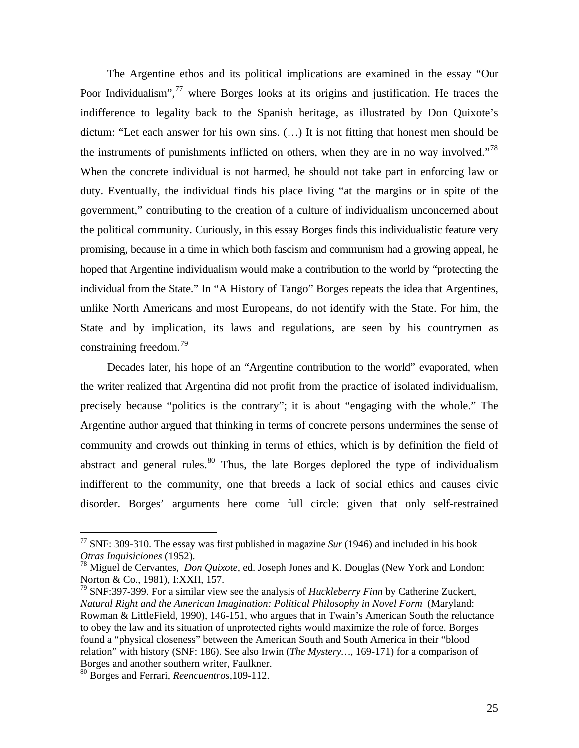The Argentine ethos and its political implications are examined in the essay "Our Poor Individualism",<sup>[77](#page-24-0)</sup> where Borges looks at its origins and justification. He traces the indifference to legality back to the Spanish heritage, as illustrated by Don Quixote's dictum: "Let each answer for his own sins. (…) It is not fitting that honest men should be the instruments of punishments inflicted on others, when they are in no way involved."<sup>[78](#page-24-1)</sup> When the concrete individual is not harmed, he should not take part in enforcing law or duty. Eventually, the individual finds his place living "at the margins or in spite of the government," contributing to the creation of a culture of individualism unconcerned about the political community. Curiously, in this essay Borges finds this individualistic feature very promising, because in a time in which both fascism and communism had a growing appeal, he hoped that Argentine individualism would make a contribution to the world by "protecting the individual from the State." In "A History of Tango" Borges repeats the idea that Argentines, unlike North Americans and most Europeans, do not identify with the State. For him, the State and by implication, its laws and regulations, are seen by his countrymen as constraining freedom.[79](#page-24-2)

Decades later, his hope of an "Argentine contribution to the world" evaporated, when the writer realized that Argentina did not profit from the practice of isolated individualism, precisely because "politics is the contrary"; it is about "engaging with the whole." The Argentine author argued that thinking in terms of concrete persons undermines the sense of community and crowds out thinking in terms of ethics, which is by definition the field of abstract and general rules.<sup>[80](#page-24-3)</sup> Thus, the late Borges deplored the type of individualism indifferent to the community, one that breeds a lack of social ethics and causes civic disorder. Borges' arguments here come full circle: given that only self-restrained

<span id="page-24-0"></span><sup>77</sup> SNF: 309-310. The essay was first published in magazine *Sur* (1946) and included in his book *Otras Inquisiciones* (1952).

<span id="page-24-1"></span><sup>78</sup> Miguel de Cervantes, *Don Quixote*, ed. Joseph Jones and K. Douglas (New York and London: Norton & Co., 1981), I:XXII, 157.

<span id="page-24-2"></span><sup>79</sup> SNF:397-399. For a similar view see the analysis of *Huckleberry Finn* by Catherine Zuckert, *Natural Right and the American Imagination: Political Philosophy in Novel Form* (Maryland: Rowman & LittleField, 1990), 146-151, who argues that in Twain's American South the reluctance to obey the law and its situation of unprotected rights would maximize the role of force. Borges found a "physical closeness" between the American South and South America in their "blood relation" with history (SNF: 186). See also Irwin (*The Mystery…*, 169-171) for a comparison of Borges and another southern writer, Faulkner.

<span id="page-24-3"></span><sup>80</sup> Borges and Ferrari, *Reencuentros*,109-112.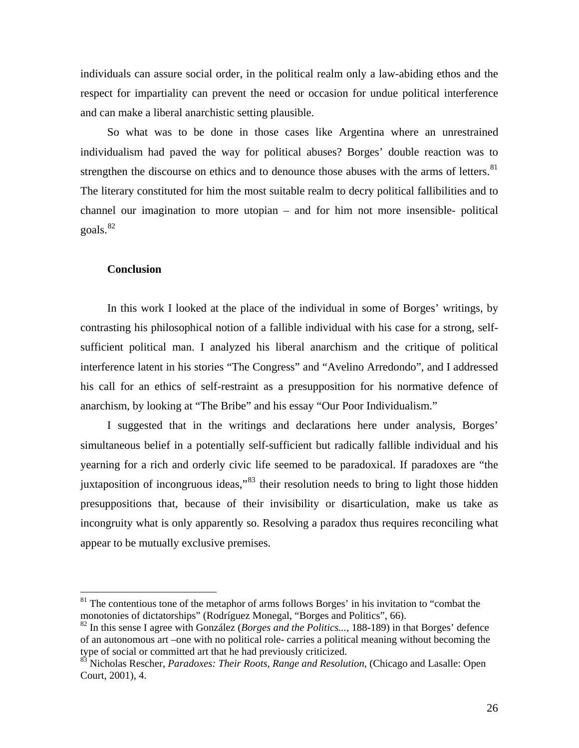individuals can assure social order, in the political realm only a law-abiding ethos and the respect for impartiality can prevent the need or occasion for undue political interference and can make a liberal anarchistic setting plausible.

So what was to be done in those cases like Argentina where an unrestrained individualism had paved the way for political abuses? Borges' double reaction was to strengthen the discourse on ethics and to denounce those abuses with the arms of letters. $81$ The literary constituted for him the most suitable realm to decry political fallibilities and to channel our imagination to more utopian – and for him not more insensible- political goals.<sup>[82](#page-25-1)</sup>

### **Conclusion**

1

In this work I looked at the place of the individual in some of Borges' writings, by contrasting his philosophical notion of a fallible individual with his case for a strong, selfsufficient political man. I analyzed his liberal anarchism and the critique of political interference latent in his stories "The Congress" and "Avelino Arredondo", and I addressed his call for an ethics of self-restraint as a presupposition for his normative defence of anarchism, by looking at "The Bribe" and his essay "Our Poor Individualism."

I suggested that in the writings and declarations here under analysis, Borges' simultaneous belief in a potentially self-sufficient but radically fallible individual and his yearning for a rich and orderly civic life seemed to be paradoxical. If paradoxes are "the juxtaposition of incongruous ideas,"<sup>[83](#page-25-2)</sup> their resolution needs to bring to light those hidden presuppositions that, because of their invisibility or disarticulation, make us take as incongruity what is only apparently so. Resolving a paradox thus requires reconciling what appear to be mutually exclusive premises.

<span id="page-25-0"></span> $81$ <sup>81</sup> The contentious tone of the metaphor of arms follows Borges' in his invitation to "combat the monotonies of dictatorships" (Rodríguez Monegal, "Borges and Politics", 66).

<span id="page-25-1"></span><sup>82</sup> In this sense I agree with González (*Borges and the Politics...,* 188-189) in that Borges' defence of an autonomous art –one with no political role- carries a political meaning without becoming the type of social or committed art that he had previously criticized.

<span id="page-25-2"></span><sup>83</sup> Nicholas Rescher, *Paradoxes: Their Roots, Range and Resolution*, (Chicago and Lasalle: Open Court, 2001), 4.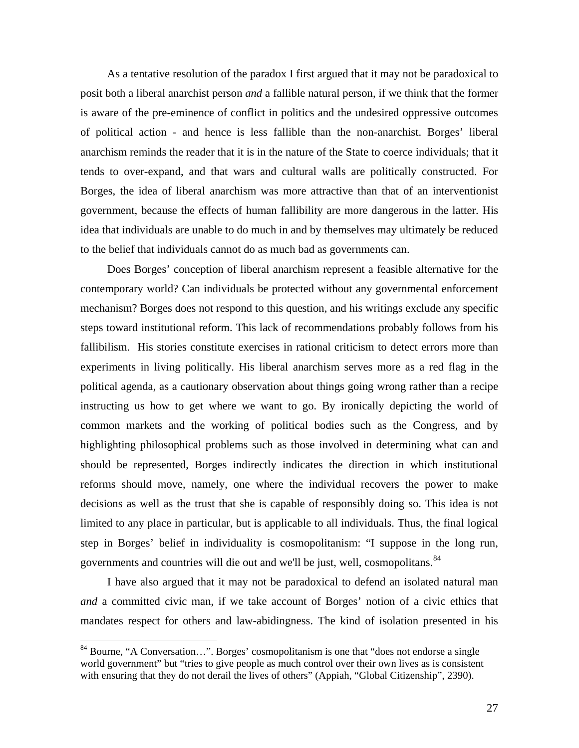As a tentative resolution of the paradox I first argued that it may not be paradoxical to posit both a liberal anarchist person *and* a fallible natural person, if we think that the former is aware of the pre-eminence of conflict in politics and the undesired oppressive outcomes of political action - and hence is less fallible than the non-anarchist. Borges' liberal anarchism reminds the reader that it is in the nature of the State to coerce individuals; that it tends to over-expand, and that wars and cultural walls are politically constructed. For Borges, the idea of liberal anarchism was more attractive than that of an interventionist government, because the effects of human fallibility are more dangerous in the latter. His idea that individuals are unable to do much in and by themselves may ultimately be reduced to the belief that individuals cannot do as much bad as governments can.

Does Borges' conception of liberal anarchism represent a feasible alternative for the contemporary world? Can individuals be protected without any governmental enforcement mechanism? Borges does not respond to this question, and his writings exclude any specific steps toward institutional reform. This lack of recommendations probably follows from his fallibilism. His stories constitute exercises in rational criticism to detect errors more than experiments in living politically. His liberal anarchism serves more as a red flag in the political agenda, as a cautionary observation about things going wrong rather than a recipe instructing us how to get where we want to go. By ironically depicting the world of common markets and the working of political bodies such as the Congress, and by highlighting philosophical problems such as those involved in determining what can and should be represented, Borges indirectly indicates the direction in which institutional reforms should move, namely, one where the individual recovers the power to make decisions as well as the trust that she is capable of responsibly doing so. This idea is not limited to any place in particular, but is applicable to all individuals. Thus, the final logical step in Borges' belief in individuality is cosmopolitanism: "I suppose in the long run, governments and countries will die out and we'll be just, well, cosmopolitans.<sup>[84](#page-26-0)</sup>

I have also argued that it may not be paradoxical to defend an isolated natural man *and* a committed civic man, if we take account of Borges' notion of a civic ethics that mandates respect for others and law-abidingness. The kind of isolation presented in his

<span id="page-26-0"></span><sup>&</sup>lt;sup>84</sup> Bourne, "A Conversation...". Borges' cosmopolitanism is one that "does not endorse a single world government" but "tries to give people as much control over their own lives as is consistent with ensuring that they do not derail the lives of others" (Appiah, "Global Citizenship", 2390).